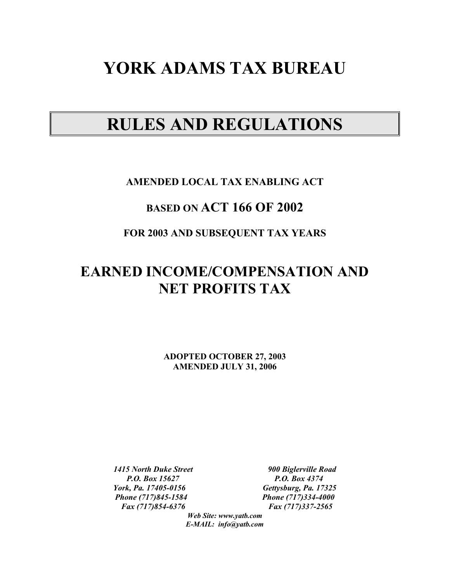# **YORK ADAMS TAX BUREAU**

# **RULES AND REGULATIONS**

# **AMENDED LOCAL TAX ENABLING ACT**

# **BASED ON ACT 166 OF 2002**

# **FOR 2003 AND SUBSEQUENT TAX YEARS**

# **EARNED INCOME/COMPENSATION AND NET PROFITS TAX**

**ADOPTED OCTOBER 27, 2003 AMENDED JULY 31, 2006** 

*P.O. Box 15627 P.O. Box 4374 York, Pa. 17405-0156 Gettysburg, Pa. 17325 Phone (717)845-1584 Phone (717)334-4000 Fax (717)854-6376 Fax (717)337-2565* 

*1415 North Duke Street 900 Biglerville Road* 

*Web Site: www.yatb.com E-MAIL: info@yatb.com*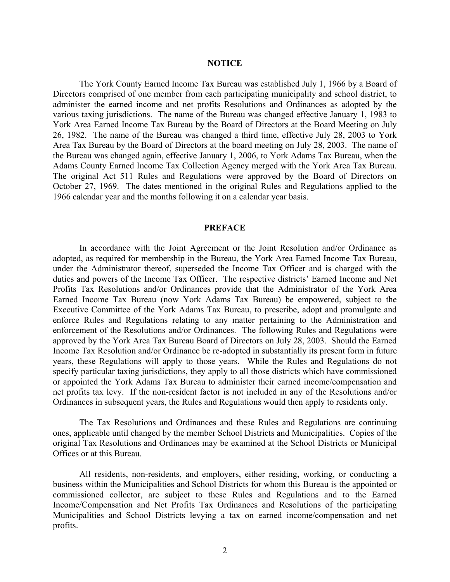#### **NOTICE**

 The York County Earned Income Tax Bureau was established July 1, 1966 by a Board of Directors comprised of one member from each participating municipality and school district, to administer the earned income and net profits Resolutions and Ordinances as adopted by the various taxing jurisdictions. The name of the Bureau was changed effective January 1, 1983 to York Area Earned Income Tax Bureau by the Board of Directors at the Board Meeting on July 26, 1982. The name of the Bureau was changed a third time, effective July 28, 2003 to York Area Tax Bureau by the Board of Directors at the board meeting on July 28, 2003. The name of the Bureau was changed again, effective January 1, 2006, to York Adams Tax Bureau, when the Adams County Earned Income Tax Collection Agency merged with the York Area Tax Bureau. The original Act 511 Rules and Regulations were approved by the Board of Directors on October 27, 1969. The dates mentioned in the original Rules and Regulations applied to the 1966 calendar year and the months following it on a calendar year basis.

#### **PREFACE**

 In accordance with the Joint Agreement or the Joint Resolution and/or Ordinance as adopted, as required for membership in the Bureau, the York Area Earned Income Tax Bureau, under the Administrator thereof, superseded the Income Tax Officer and is charged with the duties and powers of the Income Tax Officer. The respective districts' Earned Income and Net Profits Tax Resolutions and/or Ordinances provide that the Administrator of the York Area Earned Income Tax Bureau (now York Adams Tax Bureau) be empowered, subject to the Executive Committee of the York Adams Tax Bureau, to prescribe, adopt and promulgate and enforce Rules and Regulations relating to any matter pertaining to the Administration and enforcement of the Resolutions and/or Ordinances. The following Rules and Regulations were approved by the York Area Tax Bureau Board of Directors on July 28, 2003. Should the Earned Income Tax Resolution and/or Ordinance be re-adopted in substantially its present form in future years, these Regulations will apply to those years. While the Rules and Regulations do not specify particular taxing jurisdictions, they apply to all those districts which have commissioned or appointed the York Adams Tax Bureau to administer their earned income/compensation and net profits tax levy. If the non-resident factor is not included in any of the Resolutions and/or Ordinances in subsequent years, the Rules and Regulations would then apply to residents only.

 The Tax Resolutions and Ordinances and these Rules and Regulations are continuing ones, applicable until changed by the member School Districts and Municipalities. Copies of the original Tax Resolutions and Ordinances may be examined at the School Districts or Municipal Offices or at this Bureau.

 All residents, non-residents, and employers, either residing, working, or conducting a business within the Municipalities and School Districts for whom this Bureau is the appointed or commissioned collector, are subject to these Rules and Regulations and to the Earned Income/Compensation and Net Profits Tax Ordinances and Resolutions of the participating Municipalities and School Districts levying a tax on earned income/compensation and net profits.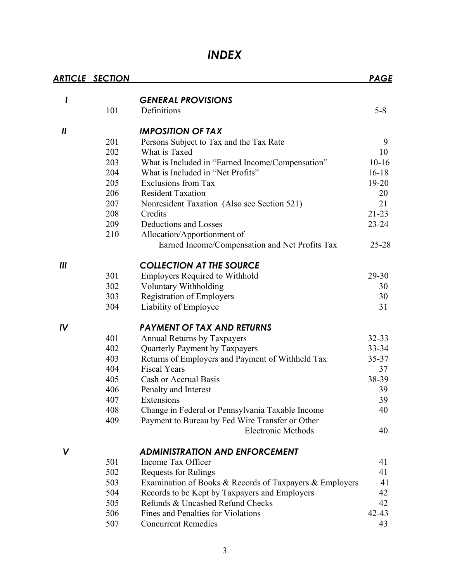# *INDEX*

|                            | <b>ARTICLE SECTION</b> |                                                         | <b>PAGE</b> |
|----------------------------|------------------------|---------------------------------------------------------|-------------|
| I                          |                        | <b>GENERAL PROVISIONS</b>                               |             |
|                            | 101                    | Definitions                                             | $5 - 8$     |
|                            |                        |                                                         |             |
| $\boldsymbol{\mathsf{II}}$ |                        | <b>IMPOSITION OF TAX</b>                                |             |
|                            | 201                    | Persons Subject to Tax and the Tax Rate                 | 9           |
|                            | 202                    | What is Taxed                                           | 10          |
|                            | 203                    | What is Included in "Earned Income/Compensation"        | $10 - 16$   |
|                            | 204                    | What is Included in "Net Profits"                       | $16 - 18$   |
|                            | 205                    | <b>Exclusions from Tax</b>                              | $19 - 20$   |
|                            | 206                    | <b>Resident Taxation</b>                                | 20          |
|                            | 207                    | Nonresident Taxation (Also see Section 521)             | 21          |
|                            | 208                    | Credits                                                 | $21 - 23$   |
|                            | 209                    | Deductions and Losses                                   | $23 - 24$   |
|                            | 210                    | Allocation/Apportionment of                             |             |
|                            |                        | Earned Income/Compensation and Net Profits Tax          | $25 - 28$   |
| III                        |                        | <b>COLLECTION AT THE SOURCE</b>                         |             |
|                            | 301                    | <b>Employers Required to Withhold</b>                   | 29-30       |
|                            | 302                    | Voluntary Withholding                                   | 30          |
|                            | 303                    | <b>Registration of Employers</b>                        | 30          |
|                            | 304                    | Liability of Employee                                   | 31          |
| IV                         |                        | <b>PAYMENT OF TAX AND RETURNS</b>                       |             |
|                            | 401                    | <b>Annual Returns by Taxpayers</b>                      | $32 - 33$   |
|                            | 402                    | Quarterly Payment by Taxpayers                          | $33 - 34$   |
|                            | 403                    | Returns of Employers and Payment of Withheld Tax        | $35 - 37$   |
|                            | 404                    | <b>Fiscal Years</b>                                     | 37          |
|                            | 405                    | Cash or Accrual Basis                                   | 38-39       |
|                            | 406                    | Penalty and Interest                                    | 39          |
|                            | 407                    | Extensions                                              | 39          |
|                            | 408                    | Change in Federal or Pennsylvania Taxable Income        | 40          |
|                            | 409                    | Payment to Bureau by Fed Wire Transfer or Other         |             |
|                            |                        | <b>Electronic Methods</b>                               | 40          |
| V                          |                        | <b>ADMINISTRATION AND ENFORCEMENT</b>                   |             |
|                            | 501                    | Income Tax Officer                                      | 41          |
|                            | 502                    | <b>Requests for Rulings</b>                             | 41          |
|                            | 503                    | Examination of Books & Records of Taxpayers & Employers | 41          |
|                            | 504                    | Records to be Kept by Taxpayers and Employers           | 42          |
|                            | 505                    | Refunds & Uncashed Refund Checks                        | 42          |
|                            | 506                    | Fines and Penalties for Violations                      | $42 - 43$   |
|                            | 507                    | <b>Concurrent Remedies</b>                              | 43          |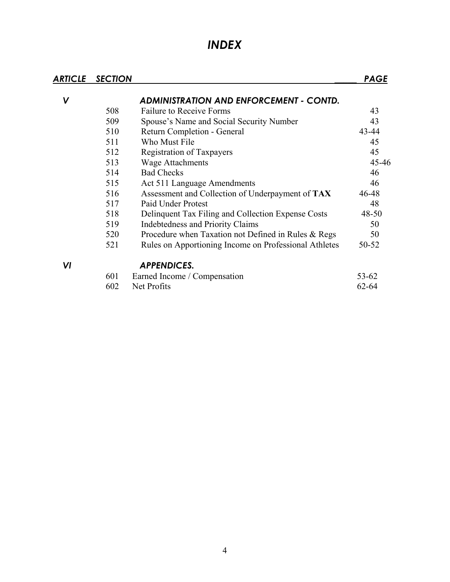# *INDEX*

| ARTICLE | <b>SECTION</b> |                                                       | <b>PAGE</b> |
|---------|----------------|-------------------------------------------------------|-------------|
| V       |                | <b>ADMINISTRATION AND ENFORCEMENT - CONTD.</b>        |             |
|         | 508            | <b>Failure to Receive Forms</b>                       | 43          |
|         | 509            | Spouse's Name and Social Security Number              | 43          |
|         | 510            | Return Completion - General                           | 43-44       |
|         | 511            | Who Must File                                         | 45          |
|         | 512            | Registration of Taxpayers                             | 45          |
|         | 513            | <b>Wage Attachments</b>                               | 45-46       |
|         | 514            | <b>Bad Checks</b>                                     | 46          |
|         | 515            | Act 511 Language Amendments                           | 46          |
|         | 516            | Assessment and Collection of Underpayment of TAX      | 46-48       |
|         | 517            | Paid Under Protest                                    | 48          |
|         | 518            | Delinquent Tax Filing and Collection Expense Costs    | $48 - 50$   |
|         | 519            | <b>Indebtedness and Priority Claims</b>               | 50          |
|         | 520            | Procedure when Taxation not Defined in Rules & Regs   | 50          |
|         | 521            | Rules on Apportioning Income on Professional Athletes | 50-52       |
| VI      |                | <b>APPENDICES.</b>                                    |             |
|         | 601            | Earned Income / Compensation                          | $53 - 62$   |
|         | 602            | Net Profits                                           | $62 - 64$   |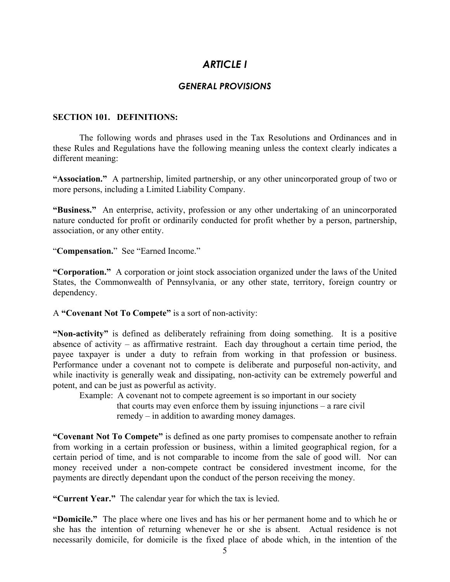# *ARTICLE I*

# *GENERAL PROVISIONS*

### **SECTION 101. DEFINITIONS:**

 The following words and phrases used in the Tax Resolutions and Ordinances and in these Rules and Regulations have the following meaning unless the context clearly indicates a different meaning:

**"Association."** A partnership, limited partnership, or any other unincorporated group of two or more persons, including a Limited Liability Company.

**"Business."** An enterprise, activity, profession or any other undertaking of an unincorporated nature conducted for profit or ordinarily conducted for profit whether by a person, partnership, association, or any other entity.

"**Compensation.**" See "Earned Income."

**"Corporation."** A corporation or joint stock association organized under the laws of the United States, the Commonwealth of Pennsylvania, or any other state, territory, foreign country or dependency.

A **"Covenant Not To Compete"** is a sort of non-activity:

**"Non-activity"** is defined as deliberately refraining from doing something. It is a positive absence of activity – as affirmative restraint. Each day throughout a certain time period, the payee taxpayer is under a duty to refrain from working in that profession or business. Performance under a covenant not to compete is deliberate and purposeful non-activity, and while inactivity is generally weak and dissipating, non-activity can be extremely powerful and potent, and can be just as powerful as activity.

Example: A covenant not to compete agreement is so important in our society that courts may even enforce them by issuing injunctions – a rare civil remedy – in addition to awarding money damages.

**"Covenant Not To Compete"** is defined as one party promises to compensate another to refrain from working in a certain profession or business, within a limited geographical region, for a certain period of time, and is not comparable to income from the sale of good will. Nor can money received under a non-compete contract be considered investment income, for the payments are directly dependant upon the conduct of the person receiving the money.

**"Current Year."** The calendar year for which the tax is levied.

**"Domicile."** The place where one lives and has his or her permanent home and to which he or she has the intention of returning whenever he or she is absent. Actual residence is not necessarily domicile, for domicile is the fixed place of abode which, in the intention of the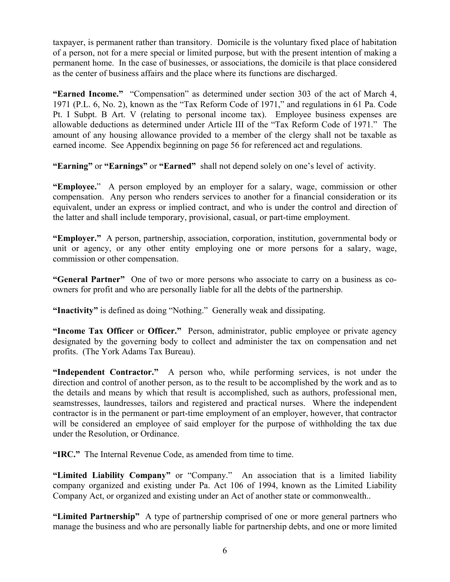taxpayer, is permanent rather than transitory. Domicile is the voluntary fixed place of habitation of a person, not for a mere special or limited purpose, but with the present intention of making a permanent home. In the case of businesses, or associations, the domicile is that place considered as the center of business affairs and the place where its functions are discharged.

**"Earned Income."** "Compensation" as determined under section 303 of the act of March 4, 1971 (P.L. 6, No. 2), known as the "Tax Reform Code of 1971," and regulations in 61 Pa. Code Pt. I Subpt. B Art. V (relating to personal income tax). Employee business expenses are allowable deductions as determined under Article III of the "Tax Reform Code of 1971." The amount of any housing allowance provided to a member of the clergy shall not be taxable as earned income. See Appendix beginning on page 56 for referenced act and regulations.

**"Earning"** or **"Earnings"** or **"Earned"** shall not depend solely on one's level of activity.

**"Employee.**" A person employed by an employer for a salary, wage, commission or other compensation. Any person who renders services to another for a financial consideration or its equivalent, under an express or implied contract, and who is under the control and direction of the latter and shall include temporary, provisional, casual, or part-time employment.

**"Employer."** A person, partnership, association, corporation, institution, governmental body or unit or agency, or any other entity employing one or more persons for a salary, wage, commission or other compensation.

**"General Partner"** One of two or more persons who associate to carry on a business as coowners for profit and who are personally liable for all the debts of the partnership.

**"Inactivity"** is defined as doing "Nothing." Generally weak and dissipating.

**"Income Tax Officer** or **Officer."** Person, administrator, public employee or private agency designated by the governing body to collect and administer the tax on compensation and net profits. (The York Adams Tax Bureau).

**"Independent Contractor."** A person who, while performing services, is not under the direction and control of another person, as to the result to be accomplished by the work and as to the details and means by which that result is accomplished, such as authors, professional men, seamstresses, laundresses, tailors and registered and practical nurses. Where the independent contractor is in the permanent or part-time employment of an employer, however, that contractor will be considered an employee of said employer for the purpose of withholding the tax due under the Resolution, or Ordinance.

**"IRC."** The Internal Revenue Code, as amended from time to time.

**"Limited Liability Company"** or "Company." An association that is a limited liability company organized and existing under Pa. Act 106 of 1994, known as the Limited Liability Company Act, or organized and existing under an Act of another state or commonwealth..

**"Limited Partnership"** A type of partnership comprised of one or more general partners who manage the business and who are personally liable for partnership debts, and one or more limited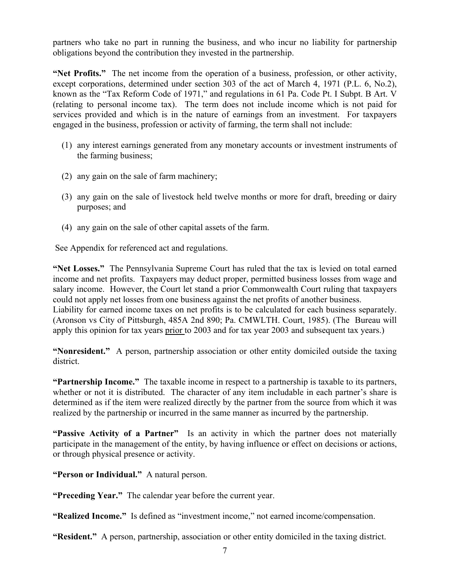partners who take no part in running the business, and who incur no liability for partnership obligations beyond the contribution they invested in the partnership.

**"Net Profits."** The net income from the operation of a business, profession, or other activity, except corporations, determined under section 303 of the act of March 4, 1971 (P.L. 6, No.2), known as the "Tax Reform Code of 1971," and regulations in 61 Pa. Code Pt. I Subpt. B Art. V (relating to personal income tax). The term does not include income which is not paid for services provided and which is in the nature of earnings from an investment. For taxpayers engaged in the business, profession or activity of farming, the term shall not include:

- (1) any interest earnings generated from any monetary accounts or investment instruments of the farming business;
- (2) any gain on the sale of farm machinery;
- (3) any gain on the sale of livestock held twelve months or more for draft, breeding or dairy purposes; and
- (4) any gain on the sale of other capital assets of the farm.

See Appendix for referenced act and regulations.

**"Net Losses."** The Pennsylvania Supreme Court has ruled that the tax is levied on total earned income and net profits. Taxpayers may deduct proper, permitted business losses from wage and salary income. However, the Court let stand a prior Commonwealth Court ruling that taxpayers could not apply net losses from one business against the net profits of another business. Liability for earned income taxes on net profits is to be calculated for each business separately. (Aronson vs City of Pittsburgh, 485A 2nd 890; Pa. CMWLTH. Court, 1985). (The Bureau will apply this opinion for tax years prior to 2003 and for tax year 2003 and subsequent tax years.)

**"Nonresident."** A person, partnership association or other entity domiciled outside the taxing district.

**"Partnership Income."** The taxable income in respect to a partnership is taxable to its partners, whether or not it is distributed. The character of any item includable in each partner's share is determined as if the item were realized directly by the partner from the source from which it was realized by the partnership or incurred in the same manner as incurred by the partnership.

**"Passive Activity of a Partner"** Is an activity in which the partner does not materially participate in the management of the entity, by having influence or effect on decisions or actions, or through physical presence or activity.

**"Person or Individual."** A natural person.

**"Preceding Year."** The calendar year before the current year.

**"Realized Income."** Is defined as "investment income," not earned income/compensation.

**"Resident."** A person, partnership, association or other entity domiciled in the taxing district.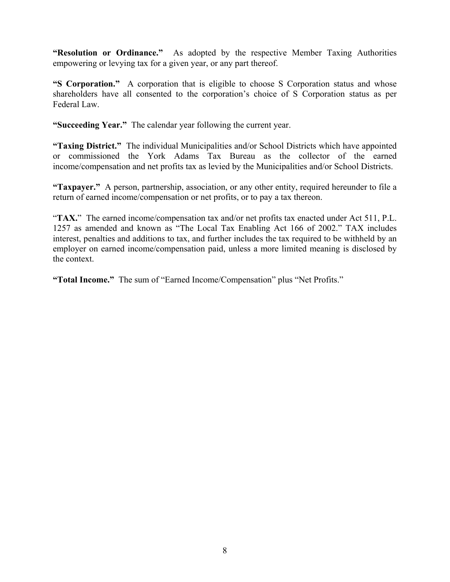**"Resolution or Ordinance."** As adopted by the respective Member Taxing Authorities empowering or levying tax for a given year, or any part thereof.

**"S Corporation."** A corporation that is eligible to choose S Corporation status and whose shareholders have all consented to the corporation's choice of S Corporation status as per Federal Law.

**"Succeeding Year."** The calendar year following the current year.

**"Taxing District."** The individual Municipalities and/or School Districts which have appointed or commissioned the York Adams Tax Bureau as the collector of the earned income/compensation and net profits tax as levied by the Municipalities and/or School Districts.

**"Taxpayer."** A person, partnership, association, or any other entity, required hereunder to file a return of earned income/compensation or net profits, or to pay a tax thereon.

"**TAX.**" The earned income/compensation tax and/or net profits tax enacted under Act 511, P.L. 1257 as amended and known as "The Local Tax Enabling Act 166 of 2002." TAX includes interest, penalties and additions to tax, and further includes the tax required to be withheld by an employer on earned income/compensation paid, unless a more limited meaning is disclosed by the context.

**"Total Income."** The sum of "Earned Income/Compensation" plus "Net Profits."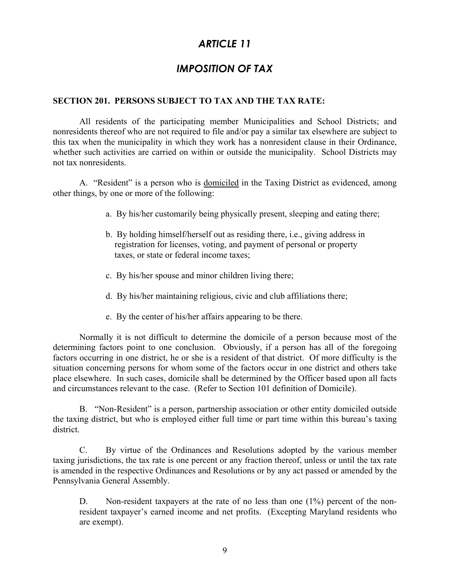# *ARTICLE 11*

# *IMPOSITION OF TAX*

# **SECTION 201. PERSONS SUBJECT TO TAX AND THE TAX RATE:**

All residents of the participating member Municipalities and School Districts; and nonresidents thereof who are not required to file and/or pay a similar tax elsewhere are subject to this tax when the municipality in which they work has a nonresident clause in their Ordinance, whether such activities are carried on within or outside the municipality. School Districts may not tax nonresidents.

 A. "Resident" is a person who is domiciled in the Taxing District as evidenced, among other things, by one or more of the following:

- a. By his/her customarily being physically present, sleeping and eating there;
- b. By holding himself/herself out as residing there, i.e., giving address in registration for licenses, voting, and payment of personal or property taxes, or state or federal income taxes;
- c. By his/her spouse and minor children living there;
- d. By his/her maintaining religious, civic and club affiliations there;
- e. By the center of his/her affairs appearing to be there.

 Normally it is not difficult to determine the domicile of a person because most of the determining factors point to one conclusion. Obviously, if a person has all of the foregoing factors occurring in one district, he or she is a resident of that district. Of more difficulty is the situation concerning persons for whom some of the factors occur in one district and others take place elsewhere. In such cases, domicile shall be determined by the Officer based upon all facts and circumstances relevant to the case. (Refer to Section 101 definition of Domicile).

 B. "Non-Resident" is a person, partnership association or other entity domiciled outside the taxing district, but who is employed either full time or part time within this bureau's taxing district.

C. By virtue of the Ordinances and Resolutions adopted by the various member taxing jurisdictions, the tax rate is one percent or any fraction thereof, unless or until the tax rate is amended in the respective Ordinances and Resolutions or by any act passed or amended by the Pennsylvania General Assembly.

D. Non-resident taxpayers at the rate of no less than one (1%) percent of the nonresident taxpayer's earned income and net profits. (Excepting Maryland residents who are exempt).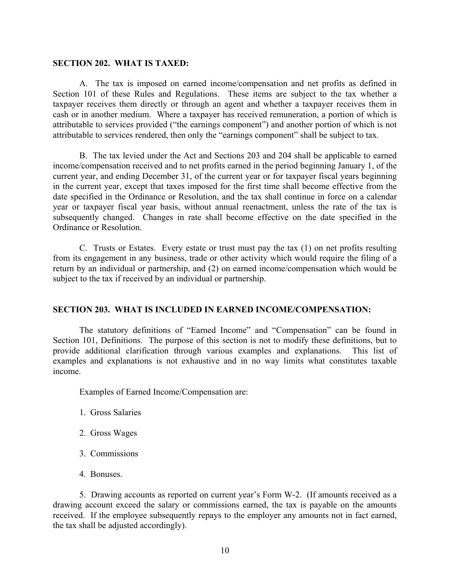### **SECTION 202. WHAT IS TAXED:**

 A. The tax is imposed on earned income/compensation and net profits as defined in Section 101 of these Rules and Regulations. These items are subject to the tax whether a taxpayer receives them directly or through an agent and whether a taxpayer receives them in cash or in another medium. Where a taxpayer has received remuneration, a portion of which is attributable to services provided ("the earnings component") and another portion of which is not attributable to services rendered, then only the "earnings component" shall be subject to tax.

 B. The tax levied under the Act and Sections 203 and 204 shall be applicable to earned income/compensation received and to net profits earned in the period beginning January 1, of the current year, and ending December 31, of the current year or for taxpayer fiscal years beginning in the current year, except that taxes imposed for the first time shall become effective from the date specified in the Ordinance or Resolution, and the tax shall continue in force on a calendar year or taxpayer fiscal year basis, without annual reenactment, unless the rate of the tax is subsequently changed. Changes in rate shall become effective on the date specified in the Ordinance or Resolution.

 C. Trusts or Estates. Every estate or trust must pay the tax (1) on net profits resulting from its engagement in any business, trade or other activity which would require the filing of a return by an individual or partnership, and (2) on earned income/compensation which would be subject to the tax if received by an individual or partnership.

### **SECTION 203. WHAT IS INCLUDED IN EARNED INCOME/COMPENSATION:**

The statutory definitions of "Earned Income" and "Compensation" can be found in Section 101, Definitions. The purpose of this section is not to modify these definitions, but to provide additional clarification through various examples and explanations. This list of examples and explanations is not exhaustive and in no way limits what constitutes taxable income.

Examples of Earned Income/Compensation are:

- 1. Gross Salaries
- 2. Gross Wages
- 3. Commissions
- 4. Bonuses.

 5. Drawing accounts as reported on current year's Form W-2. (If amounts received as a drawing account exceed the salary or commissions earned, the tax is payable on the amounts received. If the employee subsequently repays to the employer any amounts not in fact earned, the tax shall be adjusted accordingly).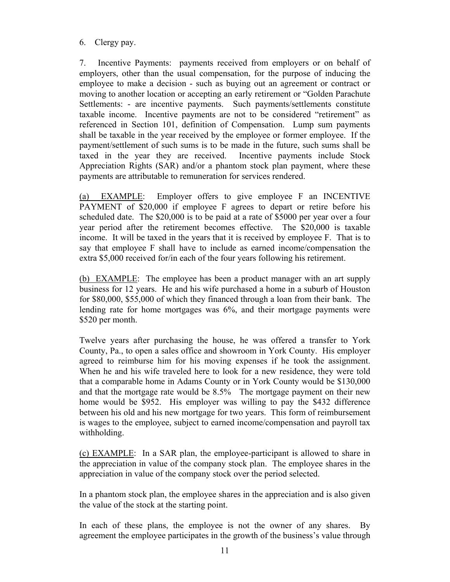# 6. Clergy pay.

7. Incentive Payments: payments received from employers or on behalf of employers, other than the usual compensation, for the purpose of inducing the employee to make a decision - such as buying out an agreement or contract or moving to another location or accepting an early retirement or "Golden Parachute Settlements: - are incentive payments. Such payments/settlements constitute taxable income. Incentive payments are not to be considered "retirement" as referenced in Section 101, definition of Compensation. Lump sum payments shall be taxable in the year received by the employee or former employee. If the payment/settlement of such sums is to be made in the future, such sums shall be taxed in the year they are received. Incentive payments include Stock Appreciation Rights (SAR) and/or a phantom stock plan payment, where these payments are attributable to remuneration for services rendered.

(a) EXAMPLE: Employer offers to give employee F an INCENTIVE PAYMENT of \$20,000 if employee F agrees to depart or retire before his scheduled date. The \$20,000 is to be paid at a rate of \$5000 per year over a four year period after the retirement becomes effective. The \$20,000 is taxable income. It will be taxed in the years that it is received by employee F. That is to say that employee F shall have to include as earned income/compensation the extra \$5,000 received for/in each of the four years following his retirement.

(b) EXAMPLE: The employee has been a product manager with an art supply business for 12 years. He and his wife purchased a home in a suburb of Houston for \$80,000, \$55,000 of which they financed through a loan from their bank. The lending rate for home mortgages was 6%, and their mortgage payments were \$520 per month.

Twelve years after purchasing the house, he was offered a transfer to York County, Pa., to open a sales office and showroom in York County. His employer agreed to reimburse him for his moving expenses if he took the assignment. When he and his wife traveled here to look for a new residence, they were told that a comparable home in Adams County or in York County would be \$130,000 and that the mortgage rate would be 8.5% The mortgage payment on their new home would be \$952. His employer was willing to pay the \$432 difference between his old and his new mortgage for two years. This form of reimbursement is wages to the employee, subject to earned income/compensation and payroll tax withholding.

(c) EXAMPLE: In a SAR plan, the employee-participant is allowed to share in the appreciation in value of the company stock plan. The employee shares in the appreciation in value of the company stock over the period selected.

In a phantom stock plan, the employee shares in the appreciation and is also given the value of the stock at the starting point.

In each of these plans, the employee is not the owner of any shares. By agreement the employee participates in the growth of the business's value through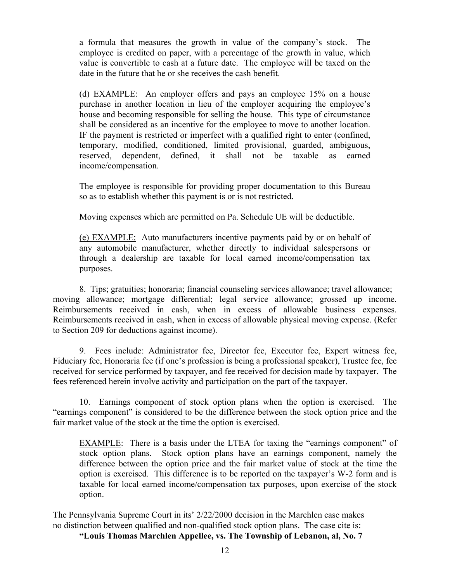a formula that measures the growth in value of the company's stock. The employee is credited on paper, with a percentage of the growth in value, which value is convertible to cash at a future date. The employee will be taxed on the date in the future that he or she receives the cash benefit.

(d) EXAMPLE: An employer offers and pays an employee 15% on a house purchase in another location in lieu of the employer acquiring the employee's house and becoming responsible for selling the house. This type of circumstance shall be considered as an incentive for the employee to move to another location. IF the payment is restricted or imperfect with a qualified right to enter (confined, temporary, modified, conditioned, limited provisional, guarded, ambiguous, reserved, dependent, defined, it shall not be taxable as earned income/compensation.

The employee is responsible for providing proper documentation to this Bureau so as to establish whether this payment is or is not restricted.

Moving expenses which are permitted on Pa. Schedule UE will be deductible.

(e) EXAMPLE: Auto manufacturers incentive payments paid by or on behalf of any automobile manufacturer, whether directly to individual salespersons or through a dealership are taxable for local earned income/compensation tax purposes.

 8. Tips; gratuities; honoraria; financial counseling services allowance; travel allowance; moving allowance; mortgage differential; legal service allowance; grossed up income. Reimbursements received in cash, when in excess of allowable business expenses. Reimbursements received in cash, when in excess of allowable physical moving expense. (Refer to Section 209 for deductions against income).

 9. Fees include: Administrator fee, Director fee, Executor fee, Expert witness fee, Fiduciary fee, Honoraria fee (if one's profession is being a professional speaker), Trustee fee, fee received for service performed by taxpayer, and fee received for decision made by taxpayer. The fees referenced herein involve activity and participation on the part of the taxpayer.

 10. Earnings component of stock option plans when the option is exercised. The "earnings component" is considered to be the difference between the stock option price and the fair market value of the stock at the time the option is exercised.

EXAMPLE: There is a basis under the LTEA for taxing the "earnings component" of stock option plans. Stock option plans have an earnings component, namely the difference between the option price and the fair market value of stock at the time the option is exercised. This difference is to be reported on the taxpayer's W-2 form and is taxable for local earned income/compensation tax purposes, upon exercise of the stock option.

The Pennsylvania Supreme Court in its' 2/22/2000 decision in the Marchlen case makes no distinction between qualified and non-qualified stock option plans. The case cite is:

**"Louis Thomas Marchlen Appellee, vs. The Township of Lebanon, al, No. 7**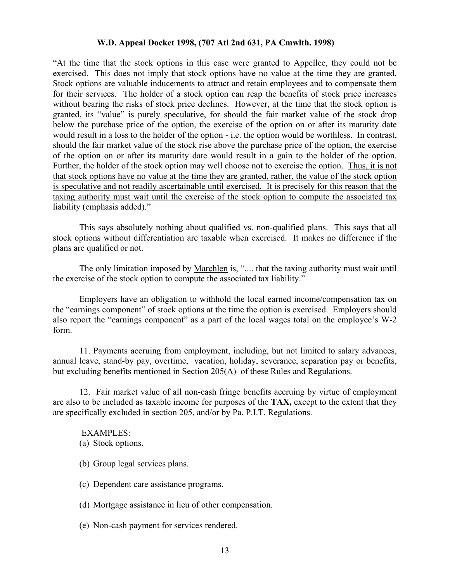### **W.D. Appeal Docket 1998, (707 Atl 2nd 631, PA Cmwlth. 1998)**

"At the time that the stock options in this case were granted to Appellee, they could not be exercised. This does not imply that stock options have no value at the time they are granted. Stock options are valuable inducements to attract and retain employees and to compensate them for their services. The holder of a stock option can reap the benefits of stock price increases without bearing the risks of stock price declines. However, at the time that the stock option is granted, its "value" is purely speculative, for should the fair market value of the stock drop below the purchase price of the option, the exercise of the option on or after its maturity date would result in a loss to the holder of the option - i.e. the option would be worthless. In contrast, should the fair market value of the stock rise above the purchase price of the option, the exercise of the option on or after its maturity date would result in a gain to the holder of the option. Further, the holder of the stock option may well choose not to exercise the option. Thus, it is not that stock options have no value at the time they are granted, rather, the value of the stock option is speculative and not readily ascertainable until exercised. It is precisely for this reason that the taxing authority must wait until the exercise of the stock option to compute the associated tax liability (emphasis added)."

 This says absolutely nothing about qualified vs. non-qualified plans. This says that all stock options without differentiation are taxable when exercised. It makes no difference if the plans are qualified or not.

The only limitation imposed by Marchlen is, ".... that the taxing authority must wait until the exercise of the stock option to compute the associated tax liability."

 Employers have an obligation to withhold the local earned income/compensation tax on the "earnings component" of stock options at the time the option is exercised. Employers should also report the "earnings component" as a part of the local wages total on the employee's W-2 form.

 11. Payments accruing from employment, including, but not limited to salary advances, annual leave, stand-by pay, overtime, vacation, holiday, severance, separation pay or benefits, but excluding benefits mentioned in Section 205(A) of these Rules and Regulations.

 12. Fair market value of all non-cash fringe benefits accruing by virtue of employment are also to be included as taxable income for purposes of the **TAX,** except to the extent that they are specifically excluded in section 205, and/or by Pa. P.I.T. Regulations.

### EXAMPLES:

(a) Stock options.

- (b) Group legal services plans.
- (c) Dependent care assistance programs.
- (d) Mortgage assistance in lieu of other compensation.
- (e) Non-cash payment for services rendered.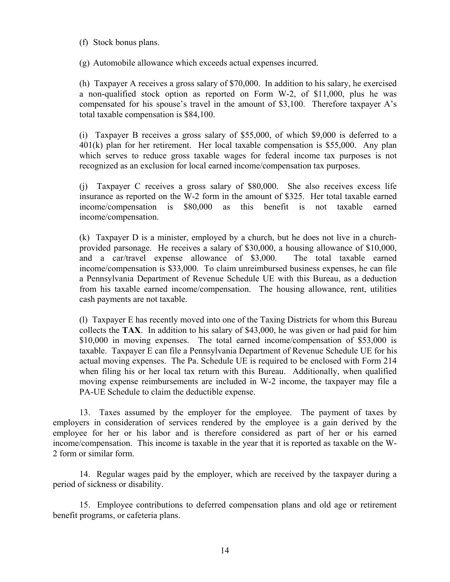### (f) Stock bonus plans.

(g) Automobile allowance which exceeds actual expenses incurred.

 (h) Taxpayer A receives a gross salary of \$70,000. In addition to his salary, he exercised a non-qualified stock option as reported on Form W-2, of \$11,000, plus he was compensated for his spouse's travel in the amount of \$3,100. Therefore taxpayer A's total taxable compensation is \$84,100.

 (i) Taxpayer B receives a gross salary of \$55,000, of which \$9,000 is deferred to a 401(k) plan for her retirement. Her local taxable compensation is \$55,000. Any plan which serves to reduce gross taxable wages for federal income tax purposes is not recognized as an exclusion for local earned income/compensation tax purposes.

 (j) Taxpayer C receives a gross salary of \$80,000. She also receives excess life insurance as reported on the W-2 form in the amount of \$325. Her total taxable earned income/compensation is \$80,000 as this benefit is not taxable earned income/compensation.

 (k) Taxpayer D is a minister, employed by a church, but he does not live in a churchprovided parsonage. He receives a salary of \$30,000, a housing allowance of \$10,000, and a car/travel expense allowance of \$3,000. The total taxable earned income/compensation is \$33,000. To claim unreimbursed business expenses, he can file a Pennsylvania Department of Revenue Schedule UE with this Bureau, as a deduction from his taxable earned income/compensation. The housing allowance, rent, utilities cash payments are not taxable.

 (l) Taxpayer E has recently moved into one of the Taxing Districts for whom this Bureau collects the **TAX**. In addition to his salary of \$43,000, he was given or had paid for him \$10,000 in moving expenses. The total earned income/compensation of \$53,000 is taxable. Taxpayer E can file a Pennsylvania Department of Revenue Schedule UE for his actual moving expenses. The Pa. Schedule UE is required to be enclosed with Form 214 when filing his or her local tax return with this Bureau. Additionally, when qualified moving expense reimbursements are included in W-2 income, the taxpayer may file a PA-UE Schedule to claim the deductible expense.

 13. Taxes assumed by the employer for the employee. The payment of taxes by employers in consideration of services rendered by the employee is a gain derived by the employee for her or his labor and is therefore considered as part of her or his earned income/compensation. This income is taxable in the year that it is reported as taxable on the W-2 form or similar form.

 14. Regular wages paid by the employer, which are received by the taxpayer during a period of sickness or disability.

 15. Employee contributions to deferred compensation plans and old age or retirement benefit programs, or cafeteria plans.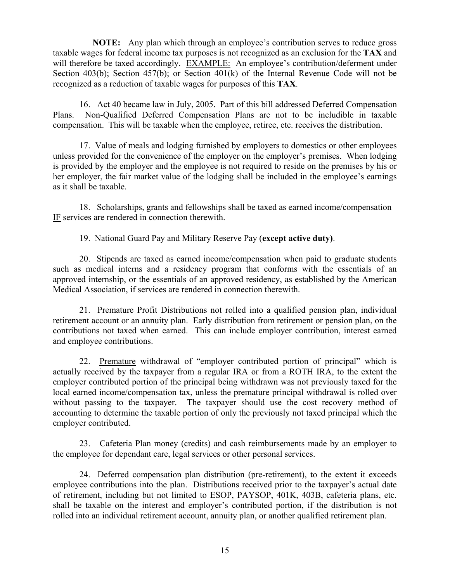**NOTE:** Any plan which through an employee's contribution serves to reduce gross taxable wages for federal income tax purposes is not recognized as an exclusion for the **TAX** and will therefore be taxed accordingly. EXAMPLE: An employee's contribution/deferment under Section 403(b); Section 457(b); or Section 401(k) of the Internal Revenue Code will not be recognized as a reduction of taxable wages for purposes of this **TAX**.

 16. Act 40 became law in July, 2005. Part of this bill addressed Deferred Compensation Plans. Non-Qualified Deferred Compensation Plans are not to be includible in taxable compensation. This will be taxable when the employee, retiree, etc. receives the distribution.

 17. Value of meals and lodging furnished by employers to domestics or other employees unless provided for the convenience of the employer on the employer's premises. When lodging is provided by the employer and the employee is not required to reside on the premises by his or her employer, the fair market value of the lodging shall be included in the employee's earnings as it shall be taxable.

18. Scholarships, grants and fellowships shall be taxed as earned income/compensation IF services are rendered in connection therewith.

19. National Guard Pay and Military Reserve Pay (**except active duty)**.

 20. Stipends are taxed as earned income/compensation when paid to graduate students such as medical interns and a residency program that conforms with the essentials of an approved internship, or the essentials of an approved residency, as established by the American Medical Association, if services are rendered in connection therewith.

 21. Premature Profit Distributions not rolled into a qualified pension plan, individual retirement account or an annuity plan. Early distribution from retirement or pension plan, on the contributions not taxed when earned. This can include employer contribution, interest earned and employee contributions.

 22. Premature withdrawal of "employer contributed portion of principal" which is actually received by the taxpayer from a regular IRA or from a ROTH IRA, to the extent the employer contributed portion of the principal being withdrawn was not previously taxed for the local earned income/compensation tax, unless the premature principal withdrawal is rolled over without passing to the taxpayer. The taxpayer should use the cost recovery method of accounting to determine the taxable portion of only the previously not taxed principal which the employer contributed.

23. Cafeteria Plan money (credits) and cash reimbursements made by an employer to the employee for dependant care, legal services or other personal services.

 24. Deferred compensation plan distribution (pre-retirement), to the extent it exceeds employee contributions into the plan. Distributions received prior to the taxpayer's actual date of retirement, including but not limited to ESOP, PAYSOP, 401K, 403B, cafeteria plans, etc. shall be taxable on the interest and employer's contributed portion, if the distribution is not rolled into an individual retirement account, annuity plan, or another qualified retirement plan.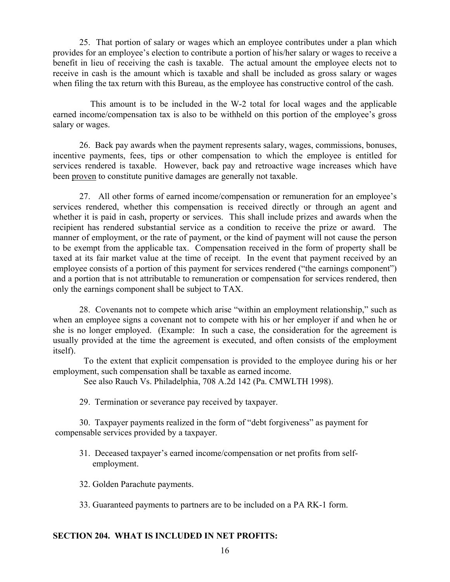25. That portion of salary or wages which an employee contributes under a plan which provides for an employee's election to contribute a portion of his/her salary or wages to receive a benefit in lieu of receiving the cash is taxable. The actual amount the employee elects not to receive in cash is the amount which is taxable and shall be included as gross salary or wages when filing the tax return with this Bureau, as the employee has constructive control of the cash.

 This amount is to be included in the W-2 total for local wages and the applicable earned income/compensation tax is also to be withheld on this portion of the employee's gross salary or wages.

 26. Back pay awards when the payment represents salary, wages, commissions, bonuses, incentive payments, fees, tips or other compensation to which the employee is entitled for services rendered is taxable. However, back pay and retroactive wage increases which have been proven to constitute punitive damages are generally not taxable.

 27. All other forms of earned income/compensation or remuneration for an employee's services rendered, whether this compensation is received directly or through an agent and whether it is paid in cash, property or services. This shall include prizes and awards when the recipient has rendered substantial service as a condition to receive the prize or award. The manner of employment, or the rate of payment, or the kind of payment will not cause the person to be exempt from the applicable tax. Compensation received in the form of property shall be taxed at its fair market value at the time of receipt. In the event that payment received by an employee consists of a portion of this payment for services rendered ("the earnings component") and a portion that is not attributable to remuneration or compensation for services rendered, then only the earnings component shall be subject to TAX.

28. Covenants not to compete which arise "within an employment relationship," such as when an employee signs a covenant not to compete with his or her employer if and when he or she is no longer employed. (Example: In such a case, the consideration for the agreement is usually provided at the time the agreement is executed, and often consists of the employment itself).

 To the extent that explicit compensation is provided to the employee during his or her employment, such compensation shall be taxable as earned income.

See also Rauch Vs. Philadelphia, 708 A.2d 142 (Pa. CMWLTH 1998).

29. Termination or severance pay received by taxpayer.

30. Taxpayer payments realized in the form of "debt forgiveness" as payment for compensable services provided by a taxpayer.

- 31. Deceased taxpayer's earned income/compensation or net profits from selfemployment.
- 32. Golden Parachute payments.
- 33. Guaranteed payments to partners are to be included on a PA RK-1 form.

### **SECTION 204. WHAT IS INCLUDED IN NET PROFITS:**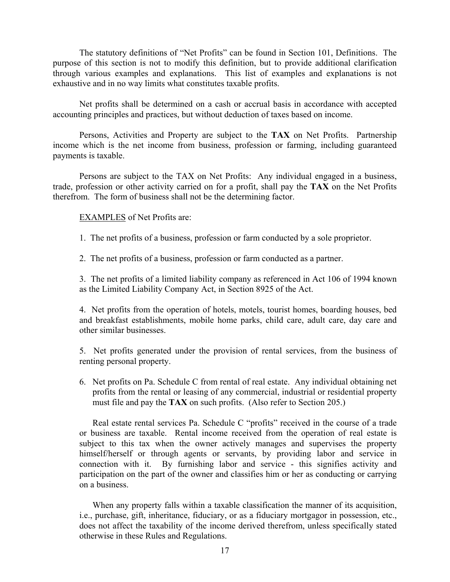The statutory definitions of "Net Profits" can be found in Section 101, Definitions. The purpose of this section is not to modify this definition, but to provide additional clarification through various examples and explanations. This list of examples and explanations is not exhaustive and in no way limits what constitutes taxable profits.

Net profits shall be determined on a cash or accrual basis in accordance with accepted accounting principles and practices, but without deduction of taxes based on income.

 Persons, Activities and Property are subject to the **TAX** on Net Profits. Partnership income which is the net income from business, profession or farming, including guaranteed payments is taxable.

 Persons are subject to the TAX on Net Profits: Any individual engaged in a business, trade, profession or other activity carried on for a profit, shall pay the **TAX** on the Net Profits therefrom. The form of business shall not be the determining factor.

EXAMPLES of Net Profits are:

1. The net profits of a business, profession or farm conducted by a sole proprietor.

2. The net profits of a business, profession or farm conducted as a partner.

 3. The net profits of a limited liability company as referenced in Act 106 of 1994 known as the Limited Liability Company Act, in Section 8925 of the Act.

 4. Net profits from the operation of hotels, motels, tourist homes, boarding houses, bed and breakfast establishments, mobile home parks, child care, adult care, day care and other similar businesses.

 5. Net profits generated under the provision of rental services, from the business of renting personal property.

6. Net profits on Pa. Schedule C from rental of real estate. Any individual obtaining net profits from the rental or leasing of any commercial, industrial or residential property must file and pay the **TAX** on such profits. (Also refer to Section 205.)

 Real estate rental services Pa. Schedule C "profits" received in the course of a trade or business are taxable. Rental income received from the operation of real estate is subject to this tax when the owner actively manages and supervises the property himself/herself or through agents or servants, by providing labor and service in connection with it. By furnishing labor and service - this signifies activity and participation on the part of the owner and classifies him or her as conducting or carrying on a business.

 When any property falls within a taxable classification the manner of its acquisition, i.e., purchase, gift, inheritance, fiduciary, or as a fiduciary mortgagor in possession, etc., does not affect the taxability of the income derived therefrom, unless specifically stated otherwise in these Rules and Regulations.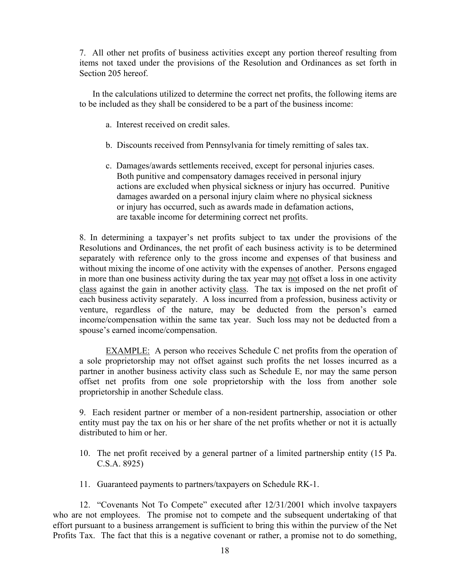7. All other net profits of business activities except any portion thereof resulting from items not taxed under the provisions of the Resolution and Ordinances as set forth in Section 205 hereof.

 In the calculations utilized to determine the correct net profits, the following items are to be included as they shall be considered to be a part of the business income:

- a. Interest received on credit sales.
- b. Discounts received from Pennsylvania for timely remitting of sales tax.
- c. Damages/awards settlements received, except for personal injuries cases. Both punitive and compensatory damages received in personal injury actions are excluded when physical sickness or injury has occurred. Punitive damages awarded on a personal injury claim where no physical sickness or injury has occurred, such as awards made in defamation actions, are taxable income for determining correct net profits.

8. In determining a taxpayer's net profits subject to tax under the provisions of the Resolutions and Ordinances, the net profit of each business activity is to be determined separately with reference only to the gross income and expenses of that business and without mixing the income of one activity with the expenses of another. Persons engaged in more than one business activity during the tax year may not offset a loss in one activity class against the gain in another activity class. The tax is imposed on the net profit of each business activity separately. A loss incurred from a profession, business activity or venture, regardless of the nature, may be deducted from the person's earned income/compensation within the same tax year. Such loss may not be deducted from a spouse's earned income/compensation.

 EXAMPLE: A person who receives Schedule C net profits from the operation of a sole proprietorship may not offset against such profits the net losses incurred as a partner in another business activity class such as Schedule E, nor may the same person offset net profits from one sole proprietorship with the loss from another sole proprietorship in another Schedule class.

 9. Each resident partner or member of a non-resident partnership, association or other entity must pay the tax on his or her share of the net profits whether or not it is actually distributed to him or her.

- 10. The net profit received by a general partner of a limited partnership entity (15 Pa. C.S.A. 8925)
- 11. Guaranteed payments to partners/taxpayers on Schedule RK-1.

12. "Covenants Not To Compete" executed after 12/31/2001 which involve taxpayers who are not employees. The promise not to compete and the subsequent undertaking of that effort pursuant to a business arrangement is sufficient to bring this within the purview of the Net Profits Tax. The fact that this is a negative covenant or rather, a promise not to do something,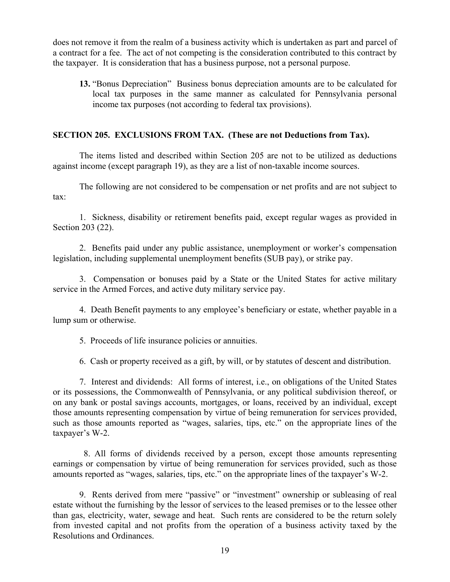does not remove it from the realm of a business activity which is undertaken as part and parcel of a contract for a fee. The act of not competing is the consideration contributed to this contract by the taxpayer. It is consideration that has a business purpose, not a personal purpose.

**13.** "Bonus Depreciation" Business bonus depreciation amounts are to be calculated for local tax purposes in the same manner as calculated for Pennsylvania personal income tax purposes (not according to federal tax provisions).

# **SECTION 205. EXCLUSIONS FROM TAX. (These are not Deductions from Tax).**

 The items listed and described within Section 205 are not to be utilized as deductions against income (except paragraph 19), as they are a list of non-taxable income sources.

 The following are not considered to be compensation or net profits and are not subject to tax:

 1. Sickness, disability or retirement benefits paid, except regular wages as provided in Section 203 (22).

 2. Benefits paid under any public assistance, unemployment or worker's compensation legislation, including supplemental unemployment benefits (SUB pay), or strike pay.

 3. Compensation or bonuses paid by a State or the United States for active military service in the Armed Forces, and active duty military service pay.

 4. Death Benefit payments to any employee's beneficiary or estate, whether payable in a lump sum or otherwise.

5. Proceeds of life insurance policies or annuities.

6. Cash or property received as a gift, by will, or by statutes of descent and distribution.

 7. Interest and dividends: All forms of interest, i.e., on obligations of the United States or its possessions, the Commonwealth of Pennsylvania, or any political subdivision thereof, or on any bank or postal savings accounts, mortgages, or loans, received by an individual, except those amounts representing compensation by virtue of being remuneration for services provided, such as those amounts reported as "wages, salaries, tips, etc." on the appropriate lines of the taxpayer's W-2.

 8. All forms of dividends received by a person, except those amounts representing earnings or compensation by virtue of being remuneration for services provided, such as those amounts reported as "wages, salaries, tips, etc." on the appropriate lines of the taxpayer's W-2.

 9. Rents derived from mere "passive" or "investment" ownership or subleasing of real estate without the furnishing by the lessor of services to the leased premises or to the lessee other than gas, electricity, water, sewage and heat. Such rents are considered to be the return solely from invested capital and not profits from the operation of a business activity taxed by the Resolutions and Ordinances.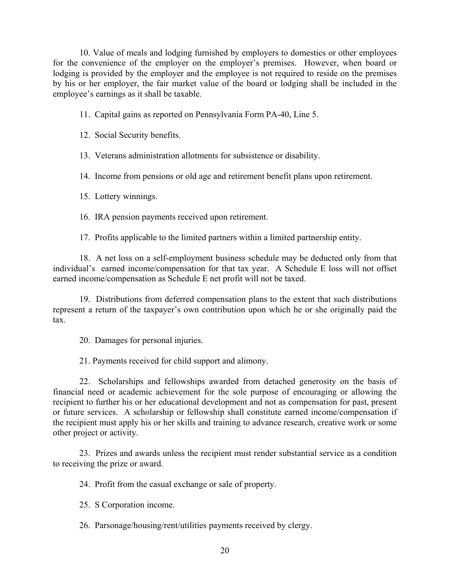10. Value of meals and lodging furnished by employers to domestics or other employees for the convenience of the employer on the employer's premises. However, when board or lodging is provided by the employer and the employee is not required to reside on the premises by his or her employer, the fair market value of the board or lodging shall be included in the employee's earnings as it shall be taxable.

11. Capital gains as reported on Pennsylvania Form PA-40, Line 5.

12. Social Security benefits.

13. Veterans administration allotments for subsistence or disability.

14. Income from pensions or old age and retirement benefit plans upon retirement.

15. Lottery winnings.

16. IRA pension payments received upon retirement.

17. Profits applicable to the limited partners within a limited partnership entity.

 18. A net loss on a self-employment business schedule may be deducted only from that individual's earned income/compensation for that tax year. A Schedule E loss will not offset earned income/compensation as Schedule E net profit will not be taxed.

 19. Distributions from deferred compensation plans to the extent that such distributions represent a return of the taxpayer's own contribution upon which he or she originally paid the tax.

20. Damages for personal injuries.

21. Payments received for child support and alimony.

 22. Scholarships and fellowships awarded from detached generosity on the basis of financial need or academic achievement for the sole purpose of encouraging or allowing the recipient to further his or her educational development and not as compensation for past, present or future services. A scholarship or fellowship shall constitute earned income/compensation if the recipient must apply his or her skills and training to advance research, creative work or some other project or activity.

 23. Prizes and awards unless the recipient must render substantial service as a condition to receiving the prize or award.

24. Profit from the casual exchange or sale of property.

25. S Corporation income.

26. Parsonage/housing/rent/utilities payments received by clergy.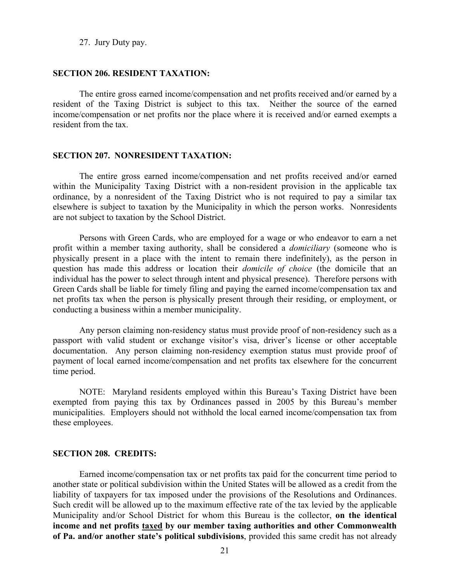27. Jury Duty pay.

### **SECTION 206. RESIDENT TAXATION:**

 The entire gross earned income/compensation and net profits received and/or earned by a resident of the Taxing District is subject to this tax. Neither the source of the earned income/compensation or net profits nor the place where it is received and/or earned exempts a resident from the tax.

#### **SECTION 207. NONRESIDENT TAXATION:**

 The entire gross earned income/compensation and net profits received and/or earned within the Municipality Taxing District with a non-resident provision in the applicable tax ordinance, by a nonresident of the Taxing District who is not required to pay a similar tax elsewhere is subject to taxation by the Municipality in which the person works. Nonresidents are not subject to taxation by the School District.

 Persons with Green Cards, who are employed for a wage or who endeavor to earn a net profit within a member taxing authority, shall be considered a *domiciliary* (someone who is physically present in a place with the intent to remain there indefinitely), as the person in question has made this address or location their *domicile of choice* (the domicile that an individual has the power to select through intent and physical presence). Therefore persons with Green Cards shall be liable for timely filing and paying the earned income/compensation tax and net profits tax when the person is physically present through their residing, or employment, or conducting a business within a member municipality.

 Any person claiming non-residency status must provide proof of non-residency such as a passport with valid student or exchange visitor's visa, driver's license or other acceptable documentation. Any person claiming non-residency exemption status must provide proof of payment of local earned income/compensation and net profits tax elsewhere for the concurrent time period.

 NOTE: Maryland residents employed within this Bureau's Taxing District have been exempted from paying this tax by Ordinances passed in 2005 by this Bureau's member municipalities. Employers should not withhold the local earned income/compensation tax from these employees.

### **SECTION 208. CREDITS:**

 Earned income/compensation tax or net profits tax paid for the concurrent time period to another state or political subdivision within the United States will be allowed as a credit from the liability of taxpayers for tax imposed under the provisions of the Resolutions and Ordinances. Such credit will be allowed up to the maximum effective rate of the tax levied by the applicable Municipality and/or School District for whom this Bureau is the collector, **on the identical income and net profits taxed by our member taxing authorities and other Commonwealth of Pa. and/or another state's political subdivisions**, provided this same credit has not already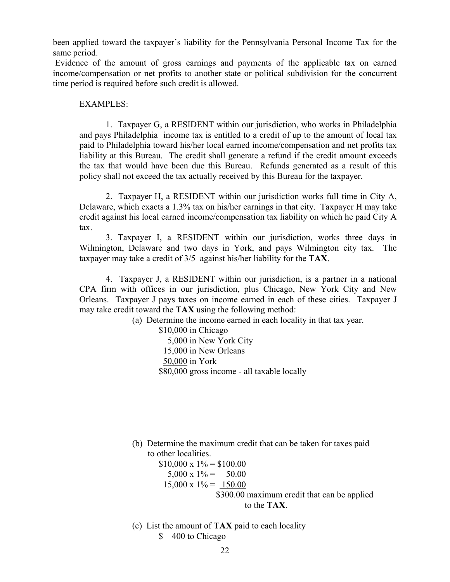been applied toward the taxpayer's liability for the Pennsylvania Personal Income Tax for the same period.

 Evidence of the amount of gross earnings and payments of the applicable tax on earned income/compensation or net profits to another state or political subdivision for the concurrent time period is required before such credit is allowed.

### EXAMPLES:

 1. Taxpayer G, a RESIDENT within our jurisdiction, who works in Philadelphia and pays Philadelphia income tax is entitled to a credit of up to the amount of local tax paid to Philadelphia toward his/her local earned income/compensation and net profits tax liability at this Bureau. The credit shall generate a refund if the credit amount exceeds the tax that would have been due this Bureau. Refunds generated as a result of this policy shall not exceed the tax actually received by this Bureau for the taxpayer.

 2. Taxpayer H, a RESIDENT within our jurisdiction works full time in City A, Delaware, which exacts a 1.3% tax on his/her earnings in that city. Taxpayer H may take credit against his local earned income/compensation tax liability on which he paid City A tax.

 3. Taxpayer I, a RESIDENT within our jurisdiction, works three days in Wilmington, Delaware and two days in York, and pays Wilmington city tax. The taxpayer may take a credit of 3/5 against his/her liability for the **TAX**.

 4. Taxpayer J, a RESIDENT within our jurisdiction, is a partner in a national CPA firm with offices in our jurisdiction, plus Chicago, New York City and New Orleans. Taxpayer J pays taxes on income earned in each of these cities. Taxpayer J may take credit toward the **TAX** using the following method:

(a) Determine the income earned in each locality in that tax year.

 \$10,000 in Chicago 5,000 in New York City 15,000 in New Orleans 50,000 in York \$80,000 gross income - all taxable locally

(b) Determine the maximum credit that can be taken for taxes paid to other localities.

 $$10,000 \times 1\% = $100.00$  $5,000 \times 1\% = 50.00$  $15,000 \times 1\% = 150.00$ \$300.00 maximum credit that can be applied to the **TAX**.

 (c) List the amount of **TAX** paid to each locality \$ 400 to Chicago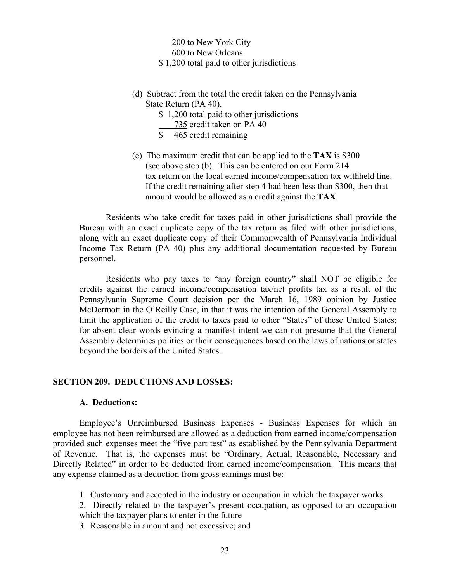200 to New York City 600 to New Orleans \$ 1,200 total paid to other jurisdictions

- (d) Subtract from the total the credit taken on the Pennsylvania State Return (PA 40).
	- \$ 1,200 total paid to other jurisdictions
		- 735 credit taken on PA 40
	- \$ 465 credit remaining
- (e) The maximum credit that can be applied to the **TAX** is \$300 (see above step (b). This can be entered on our Form 214 tax return on the local earned income/compensation tax withheld line. If the credit remaining after step 4 had been less than \$300, then that amount would be allowed as a credit against the **TAX**.

 Residents who take credit for taxes paid in other jurisdictions shall provide the Bureau with an exact duplicate copy of the tax return as filed with other jurisdictions, along with an exact duplicate copy of their Commonwealth of Pennsylvania Individual Income Tax Return (PA 40) plus any additional documentation requested by Bureau personnel.

 Residents who pay taxes to "any foreign country" shall NOT be eligible for credits against the earned income/compensation tax/net profits tax as a result of the Pennsylvania Supreme Court decision per the March 16, 1989 opinion by Justice McDermott in the O'Reilly Case, in that it was the intention of the General Assembly to limit the application of the credit to taxes paid to other "States" of these United States; for absent clear words evincing a manifest intent we can not presume that the General Assembly determines politics or their consequences based on the laws of nations or states beyond the borders of the United States.

### **SECTION 209. DEDUCTIONS AND LOSSES:**

### **A. Deductions:**

 Employee's Unreimbursed Business Expenses - Business Expenses for which an employee has not been reimbursed are allowed as a deduction from earned income/compensation provided such expenses meet the "five part test" as established by the Pennsylvania Department of Revenue. That is, the expenses must be "Ordinary, Actual, Reasonable, Necessary and Directly Related" in order to be deducted from earned income/compensation. This means that any expense claimed as a deduction from gross earnings must be:

- 1. Customary and accepted in the industry or occupation in which the taxpayer works.
- 2. Directly related to the taxpayer's present occupation, as opposed to an occupation which the taxpayer plans to enter in the future
- 3. Reasonable in amount and not excessive; and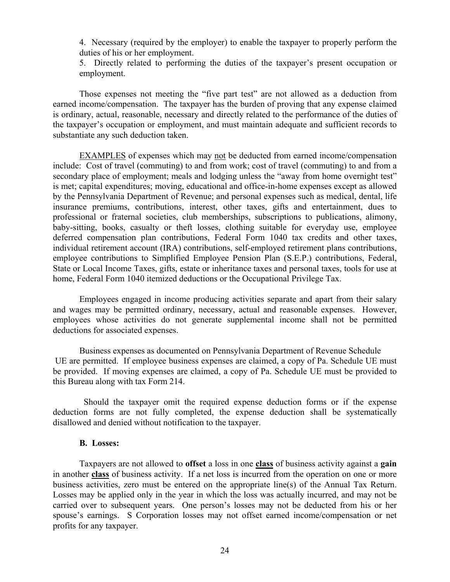4. Necessary (required by the employer) to enable the taxpayer to properly perform the duties of his or her employment.

5. Directly related to performing the duties of the taxpayer's present occupation or employment.

 Those expenses not meeting the "five part test" are not allowed as a deduction from earned income/compensation. The taxpayer has the burden of proving that any expense claimed is ordinary, actual, reasonable, necessary and directly related to the performance of the duties of the taxpayer's occupation or employment, and must maintain adequate and sufficient records to substantiate any such deduction taken.

 EXAMPLES of expenses which may not be deducted from earned income/compensation include: Cost of travel (commuting) to and from work; cost of travel (commuting) to and from a secondary place of employment; meals and lodging unless the "away from home overnight test" is met; capital expenditures; moving, educational and office-in-home expenses except as allowed by the Pennsylvania Department of Revenue; and personal expenses such as medical, dental, life insurance premiums, contributions, interest, other taxes, gifts and entertainment, dues to professional or fraternal societies, club memberships, subscriptions to publications, alimony, baby-sitting, books, casualty or theft losses, clothing suitable for everyday use, employee deferred compensation plan contributions, Federal Form 1040 tax credits and other taxes, individual retirement account (IRA) contributions, self-employed retirement plans contributions, employee contributions to Simplified Employee Pension Plan (S.E.P.) contributions, Federal, State or Local Income Taxes, gifts, estate or inheritance taxes and personal taxes, tools for use at home, Federal Form 1040 itemized deductions or the Occupational Privilege Tax.

 Employees engaged in income producing activities separate and apart from their salary and wages may be permitted ordinary, necessary, actual and reasonable expenses. However, employees whose activities do not generate supplemental income shall not be permitted deductions for associated expenses.

 Business expenses as documented on Pennsylvania Department of Revenue Schedule UE are permitted. If employee business expenses are claimed, a copy of Pa. Schedule UE must be provided. If moving expenses are claimed, a copy of Pa. Schedule UE must be provided to this Bureau along with tax Form 214.

 Should the taxpayer omit the required expense deduction forms or if the expense deduction forms are not fully completed, the expense deduction shall be systematically disallowed and denied without notification to the taxpayer.

### **B. Losses:**

 Taxpayers are not allowed to **offset** a loss in one **class** of business activity against a **gain** in another **class** of business activity. If a net loss is incurred from the operation on one or more business activities, zero must be entered on the appropriate line(s) of the Annual Tax Return. Losses may be applied only in the year in which the loss was actually incurred, and may not be carried over to subsequent years. One person's losses may not be deducted from his or her spouse's earnings. S Corporation losses may not offset earned income/compensation or net profits for any taxpayer.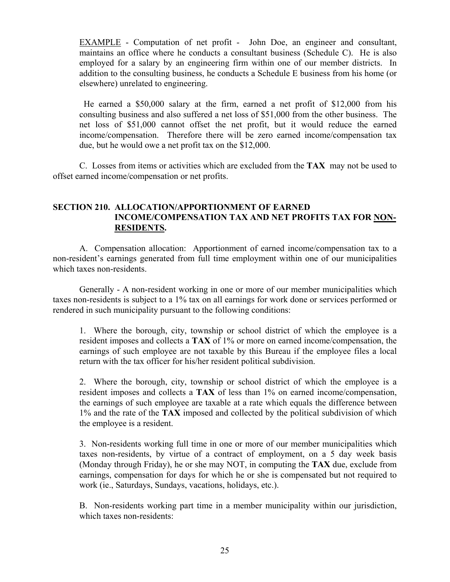EXAMPLE - Computation of net profit - John Doe, an engineer and consultant, maintains an office where he conducts a consultant business (Schedule C). He is also employed for a salary by an engineering firm within one of our member districts. In addition to the consulting business, he conducts a Schedule E business from his home (or elsewhere) unrelated to engineering.

 He earned a \$50,000 salary at the firm, earned a net profit of \$12,000 from his consulting business and also suffered a net loss of \$51,000 from the other business. The net loss of \$51,000 cannot offset the net profit, but it would reduce the earned income/compensation. Therefore there will be zero earned income/compensation tax due, but he would owe a net profit tax on the \$12,000.

 C. Losses from items or activities which are excluded from the **TAX** may not be used to offset earned income/compensation or net profits.

# **SECTION 210. ALLOCATION/APPORTIONMENT OF EARNED INCOME/COMPENSATION TAX AND NET PROFITS TAX FOR NON- RESIDENTS.**

 A. Compensation allocation: Apportionment of earned income/compensation tax to a non-resident's earnings generated from full time employment within one of our municipalities which taxes non-residents.

 Generally - A non-resident working in one or more of our member municipalities which taxes non-residents is subject to a 1% tax on all earnings for work done or services performed or rendered in such municipality pursuant to the following conditions:

 1. Where the borough, city, township or school district of which the employee is a resident imposes and collects a **TAX** of 1% or more on earned income/compensation, the earnings of such employee are not taxable by this Bureau if the employee files a local return with the tax officer for his/her resident political subdivision.

 2. Where the borough, city, township or school district of which the employee is a resident imposes and collects a **TAX** of less than 1% on earned income/compensation, the earnings of such employee are taxable at a rate which equals the difference between 1% and the rate of the **TAX** imposed and collected by the political subdivision of which the employee is a resident.

 3. Non-residents working full time in one or more of our member municipalities which taxes non-residents, by virtue of a contract of employment, on a 5 day week basis (Monday through Friday), he or she may NOT, in computing the **TAX** due, exclude from earnings, compensation for days for which he or she is compensated but not required to work (ie., Saturdays, Sundays, vacations, holidays, etc.).

B. Non-residents working part time in a member municipality within our jurisdiction, which taxes non-residents: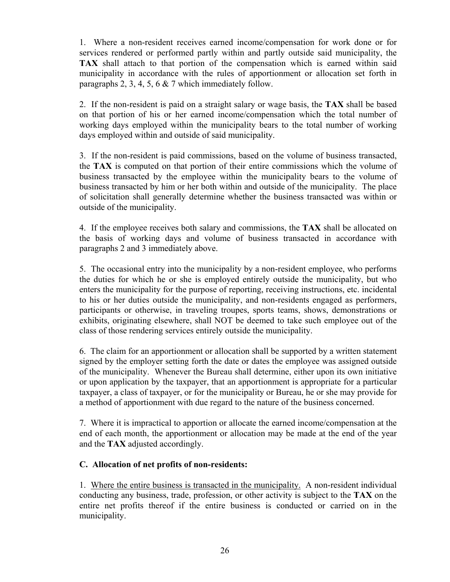1. Where a non-resident receives earned income/compensation for work done or for services rendered or performed partly within and partly outside said municipality, the **TAX** shall attach to that portion of the compensation which is earned within said municipality in accordance with the rules of apportionment or allocation set forth in paragraphs 2, 3, 4, 5, 6 & 7 which immediately follow.

2. If the non-resident is paid on a straight salary or wage basis, the **TAX** shall be based on that portion of his or her earned income/compensation which the total number of working days employed within the municipality bears to the total number of working days employed within and outside of said municipality.

3. If the non-resident is paid commissions, based on the volume of business transacted, the **TAX** is computed on that portion of their entire commissions which the volume of business transacted by the employee within the municipality bears to the volume of business transacted by him or her both within and outside of the municipality. The place of solicitation shall generally determine whether the business transacted was within or outside of the municipality.

4. If the employee receives both salary and commissions, the **TAX** shall be allocated on the basis of working days and volume of business transacted in accordance with paragraphs 2 and 3 immediately above.

5. The occasional entry into the municipality by a non-resident employee, who performs the duties for which he or she is employed entirely outside the municipality, but who enters the municipality for the purpose of reporting, receiving instructions, etc. incidental to his or her duties outside the municipality, and non-residents engaged as performers, participants or otherwise, in traveling troupes, sports teams, shows, demonstrations or exhibits, originating elsewhere, shall NOT be deemed to take such employee out of the class of those rendering services entirely outside the municipality.

6. The claim for an apportionment or allocation shall be supported by a written statement signed by the employer setting forth the date or dates the employee was assigned outside of the municipality. Whenever the Bureau shall determine, either upon its own initiative or upon application by the taxpayer, that an apportionment is appropriate for a particular taxpayer, a class of taxpayer, or for the municipality or Bureau, he or she may provide for a method of apportionment with due regard to the nature of the business concerned.

7. Where it is impractical to apportion or allocate the earned income/compensation at the end of each month, the apportionment or allocation may be made at the end of the year and the **TAX** adjusted accordingly.

# **C. Allocation of net profits of non-residents:**

1. Where the entire business is transacted in the municipality. A non-resident individual conducting any business, trade, profession, or other activity is subject to the **TAX** on the entire net profits thereof if the entire business is conducted or carried on in the municipality.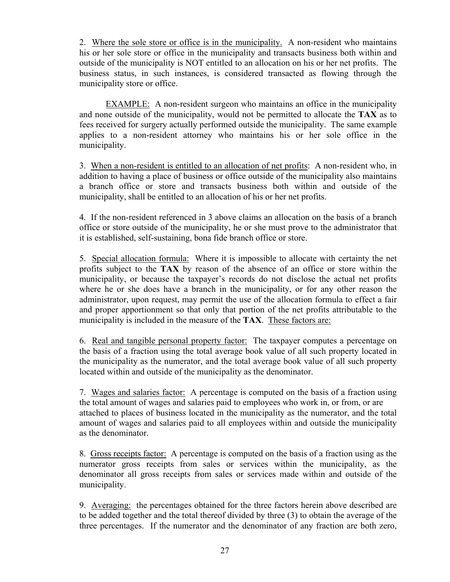2. Where the sole store or office is in the municipality. A non-resident who maintains his or her sole store or office in the municipality and transacts business both within and outside of the municipality is NOT entitled to an allocation on his or her net profits. The business status, in such instances, is considered transacted as flowing through the municipality store or office.

 EXAMPLE: A non-resident surgeon who maintains an office in the municipality and none outside of the municipality, would not be permitted to allocate the **TAX** as to fees received for surgery actually performed outside the municipality. The same example applies to a non-resident attorney who maintains his or her sole office in the municipality.

3. When a non-resident is entitled to an allocation of net profits: A non-resident who, in addition to having a place of business or office outside of the municipality also maintains a branch office or store and transacts business both within and outside of the municipality, shall be entitled to an allocation of his or her net profits.

4. If the non-resident referenced in 3 above claims an allocation on the basis of a branch office or store outside of the municipality, he or she must prove to the administrator that it is established, self-sustaining, bona fide branch office or store.

5. Special allocation formula: Where it is impossible to allocate with certainty the net profits subject to the **TAX** by reason of the absence of an office or store within the municipality, or because the taxpayer's records do not disclose the actual net profits where he or she does have a branch in the municipality, or for any other reason the administrator, upon request, may permit the use of the allocation formula to effect a fair and proper apportionment so that only that portion of the net profits attributable to the municipality is included in the measure of the **TAX**. These factors are:

6. Real and tangible personal property factor: The taxpayer computes a percentage on the basis of a fraction using the total average book value of all such property located in the municipality as the numerator, and the total average book value of all such property located within and outside of the municipality as the denominator.

7. Wages and salaries factor: A percentage is computed on the basis of a fraction using the total amount of wages and salaries paid to employees who work in, or from, or are attached to places of business located in the municipality as the numerator, and the total amount of wages and salaries paid to all employees within and outside the municipality as the denominator.

8. Gross receipts factor: A percentage is computed on the basis of a fraction using as the numerator gross receipts from sales or services within the municipality, as the denominator all gross receipts from sales or services made within and outside of the municipality.

9. Averaging: the percentages obtained for the three factors herein above described are to be added together and the total thereof divided by three (3) to obtain the average of the three percentages. If the numerator and the denominator of any fraction are both zero,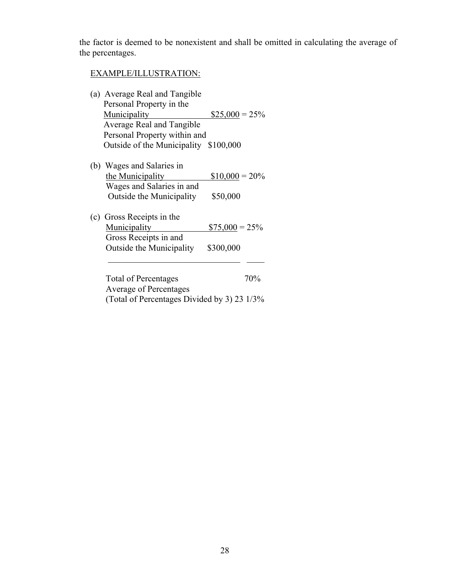the factor is deemed to be nonexistent and shall be omitted in calculating the average of the percentages.

# EXAMPLE/ILLUSTRATION:

| (a) Average Real and Tangible         |                  |
|---------------------------------------|------------------|
| Personal Property in the              |                  |
| Municipality                          | $$25,000 = 25\%$ |
| Average Real and Tangible             |                  |
| Personal Property within and          |                  |
| Outside of the Municipality \$100,000 |                  |
| (b) Wages and Salaries in             |                  |
| the Municipality                      | $$10,000 = 20\%$ |
| Wages and Salaries in and             |                  |
| Outside the Municipality              | \$50,000         |
| (c) Gross Receipts in the             |                  |
| Municipality                          | $$75,000 = 25\%$ |
| Gross Receipts in and                 |                  |
| Outside the Municipality              | \$300,000        |
|                                       |                  |
| <b>Total of Percentages</b>           | 70%              |
| <b>Average of Percentages</b>         |                  |

(Total of Percentages Divided by 3) 23 1/3%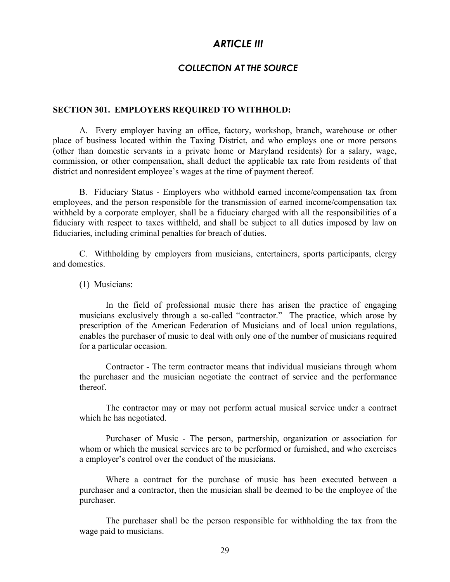# *ARTICLE III*

# *COLLECTION AT THE SOURCE*

### **SECTION 301. EMPLOYERS REQUIRED TO WITHHOLD:**

 A. Every employer having an office, factory, workshop, branch, warehouse or other place of business located within the Taxing District, and who employs one or more persons (other than domestic servants in a private home or Maryland residents) for a salary, wage, commission, or other compensation, shall deduct the applicable tax rate from residents of that district and nonresident employee's wages at the time of payment thereof.

 B. Fiduciary Status - Employers who withhold earned income/compensation tax from employees, and the person responsible for the transmission of earned income/compensation tax withheld by a corporate employer, shall be a fiduciary charged with all the responsibilities of a fiduciary with respect to taxes withheld, and shall be subject to all duties imposed by law on fiduciaries, including criminal penalties for breach of duties.

 C. Withholding by employers from musicians, entertainers, sports participants, clergy and domestics.

(1) Musicians:

 In the field of professional music there has arisen the practice of engaging musicians exclusively through a so-called "contractor." The practice, which arose by prescription of the American Federation of Musicians and of local union regulations, enables the purchaser of music to deal with only one of the number of musicians required for a particular occasion.

 Contractor - The term contractor means that individual musicians through whom the purchaser and the musician negotiate the contract of service and the performance thereof.

 The contractor may or may not perform actual musical service under a contract which he has negotiated.

 Purchaser of Music - The person, partnership, organization or association for whom or which the musical services are to be performed or furnished, and who exercises a employer's control over the conduct of the musicians.

 Where a contract for the purchase of music has been executed between a purchaser and a contractor, then the musician shall be deemed to be the employee of the purchaser.

 The purchaser shall be the person responsible for withholding the tax from the wage paid to musicians.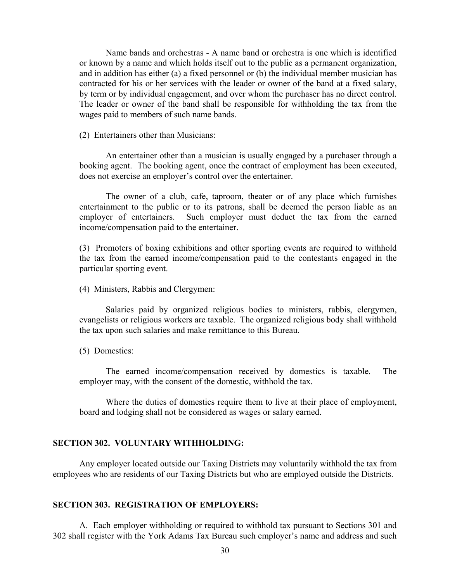Name bands and orchestras - A name band or orchestra is one which is identified or known by a name and which holds itself out to the public as a permanent organization, and in addition has either (a) a fixed personnel or (b) the individual member musician has contracted for his or her services with the leader or owner of the band at a fixed salary, by term or by individual engagement, and over whom the purchaser has no direct control. The leader or owner of the band shall be responsible for withholding the tax from the wages paid to members of such name bands.

(2) Entertainers other than Musicians:

 An entertainer other than a musician is usually engaged by a purchaser through a booking agent. The booking agent, once the contract of employment has been executed, does not exercise an employer's control over the entertainer.

 The owner of a club, cafe, taproom, theater or of any place which furnishes entertainment to the public or to its patrons, shall be deemed the person liable as an employer of entertainers. Such employer must deduct the tax from the earned income/compensation paid to the entertainer.

(3) Promoters of boxing exhibitions and other sporting events are required to withhold the tax from the earned income/compensation paid to the contestants engaged in the particular sporting event.

(4) Ministers, Rabbis and Clergymen:

 Salaries paid by organized religious bodies to ministers, rabbis, clergymen, evangelists or religious workers are taxable. The organized religious body shall withhold the tax upon such salaries and make remittance to this Bureau.

(5) Domestics:

 The earned income/compensation received by domestics is taxable. The employer may, with the consent of the domestic, withhold the tax.

 Where the duties of domestics require them to live at their place of employment, board and lodging shall not be considered as wages or salary earned.

### **SECTION 302. VOLUNTARY WITHHOLDING:**

 Any employer located outside our Taxing Districts may voluntarily withhold the tax from employees who are residents of our Taxing Districts but who are employed outside the Districts.

### **SECTION 303. REGISTRATION OF EMPLOYERS:**

 A. Each employer withholding or required to withhold tax pursuant to Sections 301 and 302 shall register with the York Adams Tax Bureau such employer's name and address and such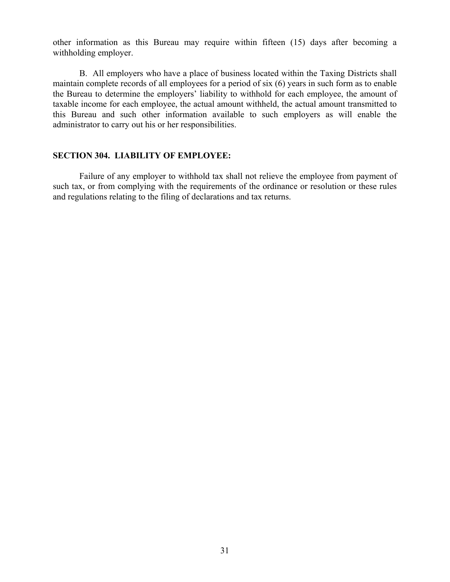other information as this Bureau may require within fifteen (15) days after becoming a withholding employer.

 B. All employers who have a place of business located within the Taxing Districts shall maintain complete records of all employees for a period of six (6) years in such form as to enable the Bureau to determine the employers' liability to withhold for each employee, the amount of taxable income for each employee, the actual amount withheld, the actual amount transmitted to this Bureau and such other information available to such employers as will enable the administrator to carry out his or her responsibilities.

### **SECTION 304. LIABILITY OF EMPLOYEE:**

 Failure of any employer to withhold tax shall not relieve the employee from payment of such tax, or from complying with the requirements of the ordinance or resolution or these rules and regulations relating to the filing of declarations and tax returns.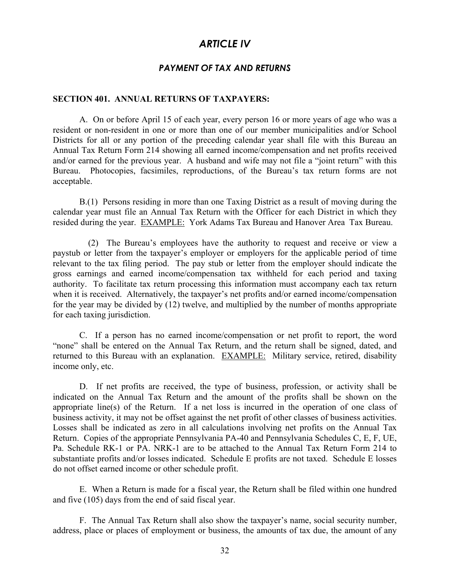# *ARTICLE IV*

### *PAYMENT OF TAX AND RETURNS*

#### **SECTION 401. ANNUAL RETURNS OF TAXPAYERS:**

 A. On or before April 15 of each year, every person 16 or more years of age who was a resident or non-resident in one or more than one of our member municipalities and/or School Districts for all or any portion of the preceding calendar year shall file with this Bureau an Annual Tax Return Form 214 showing all earned income/compensation and net profits received and/or earned for the previous year. A husband and wife may not file a "joint return" with this Bureau. Photocopies, facsimiles, reproductions, of the Bureau's tax return forms are not acceptable.

 B.(1) Persons residing in more than one Taxing District as a result of moving during the calendar year must file an Annual Tax Return with the Officer for each District in which they resided during the year. EXAMPLE: York Adams Tax Bureau and Hanover Area Tax Bureau.

 (2) The Bureau's employees have the authority to request and receive or view a paystub or letter from the taxpayer's employer or employers for the applicable period of time relevant to the tax filing period. The pay stub or letter from the employer should indicate the gross earnings and earned income/compensation tax withheld for each period and taxing authority. To facilitate tax return processing this information must accompany each tax return when it is received. Alternatively, the taxpayer's net profits and/or earned income/compensation for the year may be divided by (12) twelve, and multiplied by the number of months appropriate for each taxing jurisdiction.

 C. If a person has no earned income/compensation or net profit to report, the word "none" shall be entered on the Annual Tax Return, and the return shall be signed, dated, and returned to this Bureau with an explanation. EXAMPLE: Military service, retired, disability income only, etc.

 D. If net profits are received, the type of business, profession, or activity shall be indicated on the Annual Tax Return and the amount of the profits shall be shown on the appropriate line(s) of the Return. If a net loss is incurred in the operation of one class of business activity, it may not be offset against the net profit of other classes of business activities. Losses shall be indicated as zero in all calculations involving net profits on the Annual Tax Return. Copies of the appropriate Pennsylvania PA-40 and Pennsylvania Schedules C, E, F, UE, Pa. Schedule RK-1 or PA. NRK-1 are to be attached to the Annual Tax Return Form 214 to substantiate profits and/or losses indicated. Schedule E profits are not taxed. Schedule E losses do not offset earned income or other schedule profit.

 E. When a Return is made for a fiscal year, the Return shall be filed within one hundred and five (105) days from the end of said fiscal year.

 F. The Annual Tax Return shall also show the taxpayer's name, social security number, address, place or places of employment or business, the amounts of tax due, the amount of any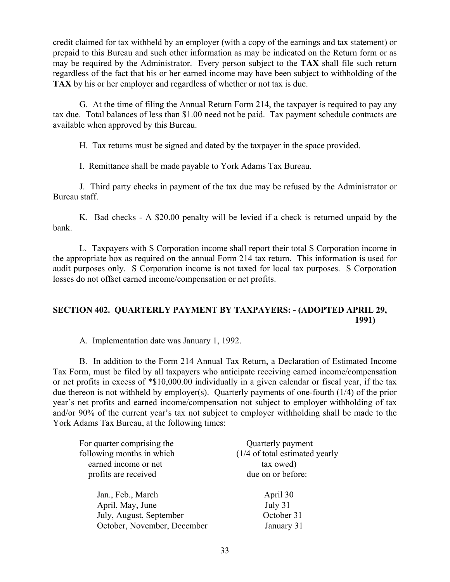credit claimed for tax withheld by an employer (with a copy of the earnings and tax statement) or prepaid to this Bureau and such other information as may be indicated on the Return form or as may be required by the Administrator. Every person subject to the **TAX** shall file such return regardless of the fact that his or her earned income may have been subject to withholding of the **TAX** by his or her employer and regardless of whether or not tax is due.

 G. At the time of filing the Annual Return Form 214, the taxpayer is required to pay any tax due. Total balances of less than \$1.00 need not be paid. Tax payment schedule contracts are available when approved by this Bureau.

H. Tax returns must be signed and dated by the taxpayer in the space provided.

I. Remittance shall be made payable to York Adams Tax Bureau.

 J. Third party checks in payment of the tax due may be refused by the Administrator or Bureau staff.

 K. Bad checks - A \$20.00 penalty will be levied if a check is returned unpaid by the bank.

 L. Taxpayers with S Corporation income shall report their total S Corporation income in the appropriate box as required on the annual Form 214 tax return. This information is used for audit purposes only. S Corporation income is not taxed for local tax purposes. S Corporation losses do not offset earned income/compensation or net profits.

# **SECTION 402. QUARTERLY PAYMENT BY TAXPAYERS: - (ADOPTED APRIL 29, 1991)**

A. Implementation date was January 1, 1992.

 B. In addition to the Form 214 Annual Tax Return, a Declaration of Estimated Income Tax Form, must be filed by all taxpayers who anticipate receiving earned income/compensation or net profits in excess of \*\$10,000.00 individually in a given calendar or fiscal year, if the tax due thereon is not withheld by employer(s). Quarterly payments of one-fourth (1/4) of the prior year's net profits and earned income/compensation not subject to employer withholding of tax and/or 90% of the current year's tax not subject to employer withholding shall be made to the York Adams Tax Bureau, at the following times:

| For quarter comprising the  | Quarterly payment                         |
|-----------------------------|-------------------------------------------|
| following months in which   | $(1/4 \text{ of total estimated yearly})$ |
| earned income or net        | tax owed)                                 |
| profits are received        | due on or before:                         |
|                             |                                           |
| Jan., Feb., March           | April 30                                  |
| April, May, June            | July 31                                   |
| July, August, September     | October 31                                |
| October, November, December | January 31                                |
|                             |                                           |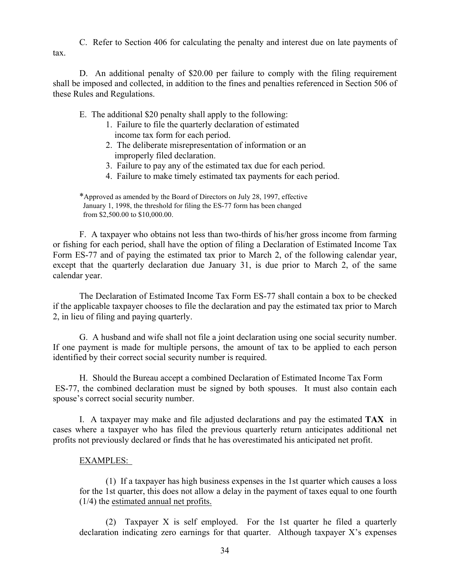C. Refer to Section 406 for calculating the penalty and interest due on late payments of tax.

 D. An additional penalty of \$20.00 per failure to comply with the filing requirement shall be imposed and collected, in addition to the fines and penalties referenced in Section 506 of these Rules and Regulations.

E. The additional \$20 penalty shall apply to the following:

- 1. Failure to file the quarterly declaration of estimated income tax form for each period.
- 2. The deliberate misrepresentation of information or an improperly filed declaration.
- 3. Failure to pay any of the estimated tax due for each period.
- 4. Failure to make timely estimated tax payments for each period.

 \*Approved as amended by the Board of Directors on July 28, 1997, effective January 1, 1998, the threshold for filing the ES-77 form has been changed from \$2,500.00 to \$10,000.00.

 F. A taxpayer who obtains not less than two-thirds of his/her gross income from farming or fishing for each period, shall have the option of filing a Declaration of Estimated Income Tax Form ES-77 and of paying the estimated tax prior to March 2, of the following calendar year, except that the quarterly declaration due January 31, is due prior to March 2, of the same calendar year.

 The Declaration of Estimated Income Tax Form ES-77 shall contain a box to be checked if the applicable taxpayer chooses to file the declaration and pay the estimated tax prior to March 2, in lieu of filing and paying quarterly.

 G. A husband and wife shall not file a joint declaration using one social security number. If one payment is made for multiple persons, the amount of tax to be applied to each person identified by their correct social security number is required.

H. Should the Bureau accept a combined Declaration of Estimated Income Tax Form ES-77, the combined declaration must be signed by both spouses. It must also contain each spouse's correct social security number.

 I. A taxpayer may make and file adjusted declarations and pay the estimated **TAX** in cases where a taxpayer who has filed the previous quarterly return anticipates additional net profits not previously declared or finds that he has overestimated his anticipated net profit.

# EXAMPLES:

 (1) If a taxpayer has high business expenses in the 1st quarter which causes a loss for the 1st quarter, this does not allow a delay in the payment of taxes equal to one fourth (1/4) the estimated annual net profits.

 (2) Taxpayer X is self employed. For the 1st quarter he filed a quarterly declaration indicating zero earnings for that quarter. Although taxpayer X's expenses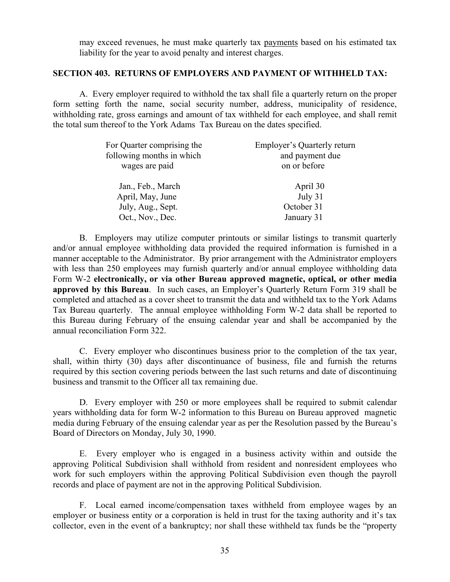may exceed revenues, he must make quarterly tax payments based on his estimated tax liability for the year to avoid penalty and interest charges.

### **SECTION 403. RETURNS OF EMPLOYERS AND PAYMENT OF WITHHELD TAX:**

 A. Every employer required to withhold the tax shall file a quarterly return on the proper form setting forth the name, social security number, address, municipality of residence, withholding rate, gross earnings and amount of tax withheld for each employee, and shall remit the total sum thereof to the York Adams Tax Bureau on the dates specified.

| For Quarter comprising the<br>following months in which | <b>Employer's Quarterly return</b><br>and payment due |
|---------------------------------------------------------|-------------------------------------------------------|
| wages are paid                                          | on or before                                          |
| Jan., Feb., March                                       | April 30                                              |
| April, May, June                                        | July 31                                               |
| July, Aug., Sept.                                       | October 31                                            |
| Oct., Nov., Dec.                                        | January 31                                            |

 B. Employers may utilize computer printouts or similar listings to transmit quarterly and/or annual employee withholding data provided the required information is furnished in a manner acceptable to the Administrator. By prior arrangement with the Administrator employers with less than 250 employees may furnish quarterly and/or annual employee withholding data Form W-2 **electronically, or via other Bureau approved magnetic, optical, or other media approved by this Bureau**. In such cases, an Employer's Quarterly Return Form 319 shall be completed and attached as a cover sheet to transmit the data and withheld tax to the York Adams Tax Bureau quarterly. The annual employee withholding Form W-2 data shall be reported to this Bureau during February of the ensuing calendar year and shall be accompanied by the annual reconciliation Form 322.

 C. Every employer who discontinues business prior to the completion of the tax year, shall, within thirty (30) days after discontinuance of business, file and furnish the returns required by this section covering periods between the last such returns and date of discontinuing business and transmit to the Officer all tax remaining due.

 D. Every employer with 250 or more employees shall be required to submit calendar years withholding data for form W-2 information to this Bureau on Bureau approved magnetic media during February of the ensuing calendar year as per the Resolution passed by the Bureau's Board of Directors on Monday, July 30, 1990.

 E. Every employer who is engaged in a business activity within and outside the approving Political Subdivision shall withhold from resident and nonresident employees who work for such employers within the approving Political Subdivision even though the payroll records and place of payment are not in the approving Political Subdivision.

 F. Local earned income/compensation taxes withheld from employee wages by an employer or business entity or a corporation is held in trust for the taxing authority and it's tax collector, even in the event of a bankruptcy; nor shall these withheld tax funds be the "property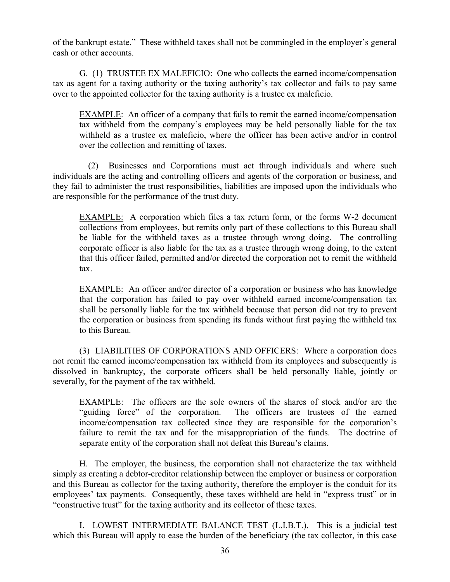of the bankrupt estate." These withheld taxes shall not be commingled in the employer's general cash or other accounts.

 G. (1) TRUSTEE EX MALEFICIO: One who collects the earned income/compensation tax as agent for a taxing authority or the taxing authority's tax collector and fails to pay same over to the appointed collector for the taxing authority is a trustee ex maleficio.

 EXAMPLE: An officer of a company that fails to remit the earned income/compensation tax withheld from the company's employees may be held personally liable for the tax withheld as a trustee ex maleficio, where the officer has been active and/or in control over the collection and remitting of taxes.

 (2) Businesses and Corporations must act through individuals and where such individuals are the acting and controlling officers and agents of the corporation or business, and they fail to administer the trust responsibilities, liabilities are imposed upon the individuals who are responsible for the performance of the trust duty.

 EXAMPLE: A corporation which files a tax return form, or the forms W-2 document collections from employees, but remits only part of these collections to this Bureau shall be liable for the withheld taxes as a trustee through wrong doing. The controlling corporate officer is also liable for the tax as a trustee through wrong doing, to the extent that this officer failed, permitted and/or directed the corporation not to remit the withheld tax.

 EXAMPLE: An officer and/or director of a corporation or business who has knowledge that the corporation has failed to pay over withheld earned income/compensation tax shall be personally liable for the tax withheld because that person did not try to prevent the corporation or business from spending its funds without first paying the withheld tax to this Bureau.

 (3) LIABILITIES OF CORPORATIONS AND OFFICERS: Where a corporation does not remit the earned income/compensation tax withheld from its employees and subsequently is dissolved in bankruptcy, the corporate officers shall be held personally liable, jointly or severally, for the payment of the tax withheld.

EXAMPLE: The officers are the sole owners of the shares of stock and/or are the "guiding force" of the corporation. The officers are trustees of the earned income/compensation tax collected since they are responsible for the corporation's failure to remit the tax and for the misappropriation of the funds. The doctrine of separate entity of the corporation shall not defeat this Bureau's claims.

 H. The employer, the business, the corporation shall not characterize the tax withheld simply as creating a debtor-creditor relationship between the employer or business or corporation and this Bureau as collector for the taxing authority, therefore the employer is the conduit for its employees' tax payments. Consequently, these taxes withheld are held in "express trust" or in "constructive trust" for the taxing authority and its collector of these taxes.

 I. LOWEST INTERMEDIATE BALANCE TEST (L.I.B.T.). This is a judicial test which this Bureau will apply to ease the burden of the beneficiary (the tax collector, in this case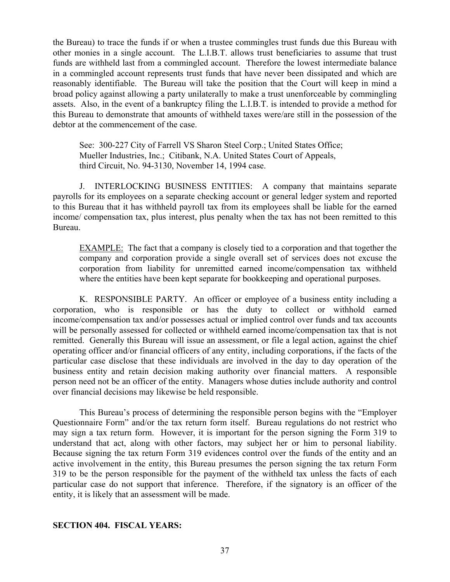the Bureau) to trace the funds if or when a trustee commingles trust funds due this Bureau with other monies in a single account. The L.I.B.T. allows trust beneficiaries to assume that trust funds are withheld last from a commingled account. Therefore the lowest intermediate balance in a commingled account represents trust funds that have never been dissipated and which are reasonably identifiable. The Bureau will take the position that the Court will keep in mind a broad policy against allowing a party unilaterally to make a trust unenforceable by commingling assets. Also, in the event of a bankruptcy filing the L.I.B.T. is intended to provide a method for this Bureau to demonstrate that amounts of withheld taxes were/are still in the possession of the debtor at the commencement of the case.

 See: 300-227 City of Farrell VS Sharon Steel Corp.; United States Office; Mueller Industries, Inc.; Citibank, N.A. United States Court of Appeals, third Circuit, No. 94-3130, November 14, 1994 case.

 J. INTERLOCKING BUSINESS ENTITIES: A company that maintains separate payrolls for its employees on a separate checking account or general ledger system and reported to this Bureau that it has withheld payroll tax from its employees shall be liable for the earned income/ compensation tax, plus interest, plus penalty when the tax has not been remitted to this Bureau.

 EXAMPLE: The fact that a company is closely tied to a corporation and that together the company and corporation provide a single overall set of services does not excuse the corporation from liability for unremitted earned income/compensation tax withheld where the entities have been kept separate for bookkeeping and operational purposes.

 K. RESPONSIBLE PARTY. An officer or employee of a business entity including a corporation, who is responsible or has the duty to collect or withhold earned income/compensation tax and/or possesses actual or implied control over funds and tax accounts will be personally assessed for collected or withheld earned income/compensation tax that is not remitted. Generally this Bureau will issue an assessment, or file a legal action, against the chief operating officer and/or financial officers of any entity, including corporations, if the facts of the particular case disclose that these individuals are involved in the day to day operation of the business entity and retain decision making authority over financial matters. A responsible person need not be an officer of the entity. Managers whose duties include authority and control over financial decisions may likewise be held responsible.

 This Bureau's process of determining the responsible person begins with the "Employer Questionnaire Form" and/or the tax return form itself. Bureau regulations do not restrict who may sign a tax return form. However, it is important for the person signing the Form 319 to understand that act, along with other factors, may subject her or him to personal liability. Because signing the tax return Form 319 evidences control over the funds of the entity and an active involvement in the entity, this Bureau presumes the person signing the tax return Form 319 to be the person responsible for the payment of the withheld tax unless the facts of each particular case do not support that inference. Therefore, if the signatory is an officer of the entity, it is likely that an assessment will be made.

### **SECTION 404. FISCAL YEARS:**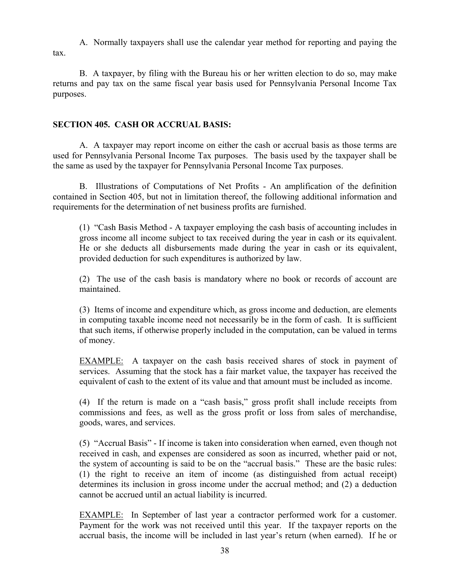A. Normally taxpayers shall use the calendar year method for reporting and paying the tax.

 B. A taxpayer, by filing with the Bureau his or her written election to do so, may make returns and pay tax on the same fiscal year basis used for Pennsylvania Personal Income Tax purposes.

# **SECTION 405. CASH OR ACCRUAL BASIS:**

 A. A taxpayer may report income on either the cash or accrual basis as those terms are used for Pennsylvania Personal Income Tax purposes. The basis used by the taxpayer shall be the same as used by the taxpayer for Pennsylvania Personal Income Tax purposes.

 B. Illustrations of Computations of Net Profits - An amplification of the definition contained in Section 405, but not in limitation thereof, the following additional information and requirements for the determination of net business profits are furnished.

 (1) "Cash Basis Method - A taxpayer employing the cash basis of accounting includes in gross income all income subject to tax received during the year in cash or its equivalent. He or she deducts all disbursements made during the year in cash or its equivalent, provided deduction for such expenditures is authorized by law.

 (2) The use of the cash basis is mandatory where no book or records of account are maintained.

 (3) Items of income and expenditure which, as gross income and deduction, are elements in computing taxable income need not necessarily be in the form of cash. It is sufficient that such items, if otherwise properly included in the computation, can be valued in terms of money.

 EXAMPLE: A taxpayer on the cash basis received shares of stock in payment of services. Assuming that the stock has a fair market value, the taxpayer has received the equivalent of cash to the extent of its value and that amount must be included as income.

 (4) If the return is made on a "cash basis," gross profit shall include receipts from commissions and fees, as well as the gross profit or loss from sales of merchandise, goods, wares, and services.

 (5) "Accrual Basis" - If income is taken into consideration when earned, even though not received in cash, and expenses are considered as soon as incurred, whether paid or not, the system of accounting is said to be on the "accrual basis." These are the basic rules: (1) the right to receive an item of income (as distinguished from actual receipt) determines its inclusion in gross income under the accrual method; and (2) a deduction cannot be accrued until an actual liability is incurred.

 EXAMPLE: In September of last year a contractor performed work for a customer. Payment for the work was not received until this year. If the taxpayer reports on the accrual basis, the income will be included in last year's return (when earned). If he or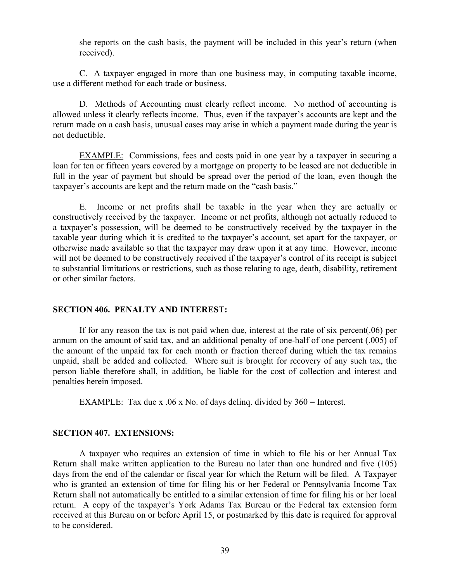she reports on the cash basis, the payment will be included in this year's return (when received).

 C. A taxpayer engaged in more than one business may, in computing taxable income, use a different method for each trade or business.

 D. Methods of Accounting must clearly reflect income. No method of accounting is allowed unless it clearly reflects income. Thus, even if the taxpayer's accounts are kept and the return made on a cash basis, unusual cases may arise in which a payment made during the year is not deductible.

 EXAMPLE: Commissions, fees and costs paid in one year by a taxpayer in securing a loan for ten or fifteen years covered by a mortgage on property to be leased are not deductible in full in the year of payment but should be spread over the period of the loan, even though the taxpayer's accounts are kept and the return made on the "cash basis."

 E. Income or net profits shall be taxable in the year when they are actually or constructively received by the taxpayer. Income or net profits, although not actually reduced to a taxpayer's possession, will be deemed to be constructively received by the taxpayer in the taxable year during which it is credited to the taxpayer's account, set apart for the taxpayer, or otherwise made available so that the taxpayer may draw upon it at any time. However, income will not be deemed to be constructively received if the taxpayer's control of its receipt is subject to substantial limitations or restrictions, such as those relating to age, death, disability, retirement or other similar factors.

### **SECTION 406. PENALTY AND INTEREST:**

 If for any reason the tax is not paid when due, interest at the rate of six percent(.06) per annum on the amount of said tax, and an additional penalty of one-half of one percent (.005) of the amount of the unpaid tax for each month or fraction thereof during which the tax remains unpaid, shall be added and collected. Where suit is brought for recovery of any such tax, the person liable therefore shall, in addition, be liable for the cost of collection and interest and penalties herein imposed.

EXAMPLE: Tax due x .06 x No. of days deling. divided by  $360 =$  Interest.

### **SECTION 407. EXTENSIONS:**

 A taxpayer who requires an extension of time in which to file his or her Annual Tax Return shall make written application to the Bureau no later than one hundred and five (105) days from the end of the calendar or fiscal year for which the Return will be filed. A Taxpayer who is granted an extension of time for filing his or her Federal or Pennsylvania Income Tax Return shall not automatically be entitled to a similar extension of time for filing his or her local return. A copy of the taxpayer's York Adams Tax Bureau or the Federal tax extension form received at this Bureau on or before April 15, or postmarked by this date is required for approval to be considered.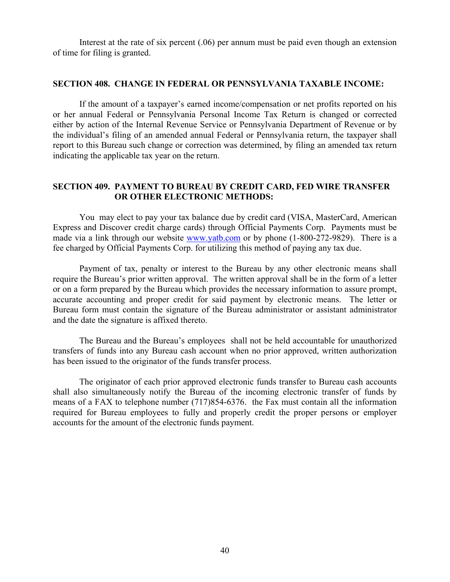Interest at the rate of six percent (.06) per annum must be paid even though an extension of time for filing is granted.

#### **SECTION 408. CHANGE IN FEDERAL OR PENNSYLVANIA TAXABLE INCOME:**

 If the amount of a taxpayer's earned income/compensation or net profits reported on his or her annual Federal or Pennsylvania Personal Income Tax Return is changed or corrected either by action of the Internal Revenue Service or Pennsylvania Department of Revenue or by the individual's filing of an amended annual Federal or Pennsylvania return, the taxpayer shall report to this Bureau such change or correction was determined, by filing an amended tax return indicating the applicable tax year on the return.

### **SECTION 409. PAYMENT TO BUREAU BY CREDIT CARD, FED WIRE TRANSFER OR OTHER ELECTRONIC METHODS:**

 You may elect to pay your tax balance due by credit card (VISA, MasterCard, American Express and Discover credit charge cards) through Official Payments Corp. Payments must be made via a link through our website www.yatb.com or by phone (1-800-272-9829). There is a fee charged by Official Payments Corp. for utilizing this method of paying any tax due.

Payment of tax, penalty or interest to the Bureau by any other electronic means shall require the Bureau's prior written approval. The written approval shall be in the form of a letter or on a form prepared by the Bureau which provides the necessary information to assure prompt, accurate accounting and proper credit for said payment by electronic means. The letter or Bureau form must contain the signature of the Bureau administrator or assistant administrator and the date the signature is affixed thereto.

 The Bureau and the Bureau's employees shall not be held accountable for unauthorized transfers of funds into any Bureau cash account when no prior approved, written authorization has been issued to the originator of the funds transfer process.

 The originator of each prior approved electronic funds transfer to Bureau cash accounts shall also simultaneously notify the Bureau of the incoming electronic transfer of funds by means of a FAX to telephone number (717)854-6376. the Fax must contain all the information required for Bureau employees to fully and properly credit the proper persons or employer accounts for the amount of the electronic funds payment.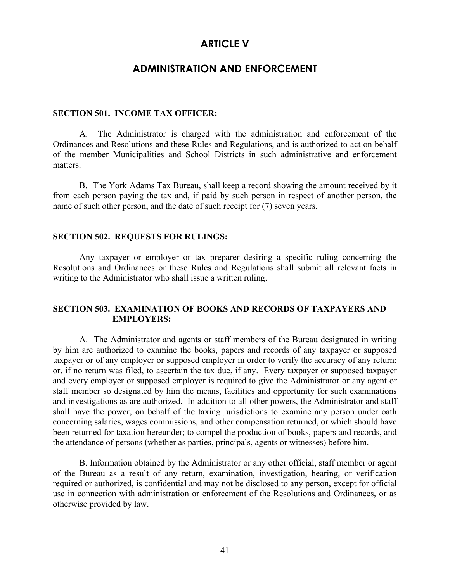# **ARTICLE V**

# **ADMINISTRATION AND ENFORCEMENT**

### **SECTION 501. INCOME TAX OFFICER:**

 A. The Administrator is charged with the administration and enforcement of the Ordinances and Resolutions and these Rules and Regulations, and is authorized to act on behalf of the member Municipalities and School Districts in such administrative and enforcement matters.

 B. The York Adams Tax Bureau, shall keep a record showing the amount received by it from each person paying the tax and, if paid by such person in respect of another person, the name of such other person, and the date of such receipt for (7) seven years.

#### **SECTION 502. REQUESTS FOR RULINGS:**

 Any taxpayer or employer or tax preparer desiring a specific ruling concerning the Resolutions and Ordinances or these Rules and Regulations shall submit all relevant facts in writing to the Administrator who shall issue a written ruling.

### **SECTION 503. EXAMINATION OF BOOKS AND RECORDS OF TAXPAYERS AND EMPLOYERS:**

A. The Administrator and agents or staff members of the Bureau designated in writing by him are authorized to examine the books, papers and records of any taxpayer or supposed taxpayer or of any employer or supposed employer in order to verify the accuracy of any return; or, if no return was filed, to ascertain the tax due, if any. Every taxpayer or supposed taxpayer and every employer or supposed employer is required to give the Administrator or any agent or staff member so designated by him the means, facilities and opportunity for such examinations and investigations as are authorized. In addition to all other powers, the Administrator and staff shall have the power, on behalf of the taxing jurisdictions to examine any person under oath concerning salaries, wages commissions, and other compensation returned, or which should have been returned for taxation hereunder; to compel the production of books, papers and records, and the attendance of persons (whether as parties, principals, agents or witnesses) before him.

 B. Information obtained by the Administrator or any other official, staff member or agent of the Bureau as a result of any return, examination, investigation, hearing, or verification required or authorized, is confidential and may not be disclosed to any person, except for official use in connection with administration or enforcement of the Resolutions and Ordinances, or as otherwise provided by law.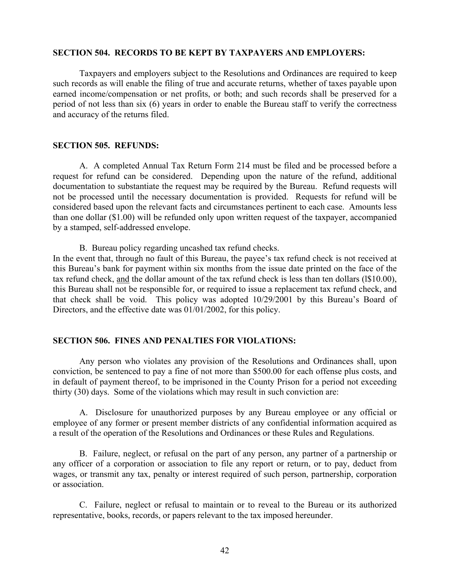### **SECTION 504. RECORDS TO BE KEPT BY TAXPAYERS AND EMPLOYERS:**

 Taxpayers and employers subject to the Resolutions and Ordinances are required to keep such records as will enable the filing of true and accurate returns, whether of taxes payable upon earned income/compensation or net profits, or both; and such records shall be preserved for a period of not less than six (6) years in order to enable the Bureau staff to verify the correctness and accuracy of the returns filed.

### **SECTION 505. REFUNDS:**

 A. A completed Annual Tax Return Form 214 must be filed and be processed before a request for refund can be considered. Depending upon the nature of the refund, additional documentation to substantiate the request may be required by the Bureau. Refund requests will not be processed until the necessary documentation is provided. Requests for refund will be considered based upon the relevant facts and circumstances pertinent to each case. Amounts less than one dollar (\$1.00) will be refunded only upon written request of the taxpayer, accompanied by a stamped, self-addressed envelope.

B. Bureau policy regarding uncashed tax refund checks.

In the event that, through no fault of this Bureau, the payee's tax refund check is not received at this Bureau's bank for payment within six months from the issue date printed on the face of the tax refund check, and the dollar amount of the tax refund check is less than ten dollars (l\$10.00), this Bureau shall not be responsible for, or required to issue a replacement tax refund check, and that check shall be void. This policy was adopted 10/29/2001 by this Bureau's Board of Directors, and the effective date was 01/01/2002, for this policy.

### **SECTION 506. FINES AND PENALTIES FOR VIOLATIONS:**

 Any person who violates any provision of the Resolutions and Ordinances shall, upon conviction, be sentenced to pay a fine of not more than \$500.00 for each offense plus costs, and in default of payment thereof, to be imprisoned in the County Prison for a period not exceeding thirty (30) days. Some of the violations which may result in such conviction are:

 A. Disclosure for unauthorized purposes by any Bureau employee or any official or employee of any former or present member districts of any confidential information acquired as a result of the operation of the Resolutions and Ordinances or these Rules and Regulations.

 B. Failure, neglect, or refusal on the part of any person, any partner of a partnership or any officer of a corporation or association to file any report or return, or to pay, deduct from wages, or transmit any tax, penalty or interest required of such person, partnership, corporation or association.

 C. Failure, neglect or refusal to maintain or to reveal to the Bureau or its authorized representative, books, records, or papers relevant to the tax imposed hereunder.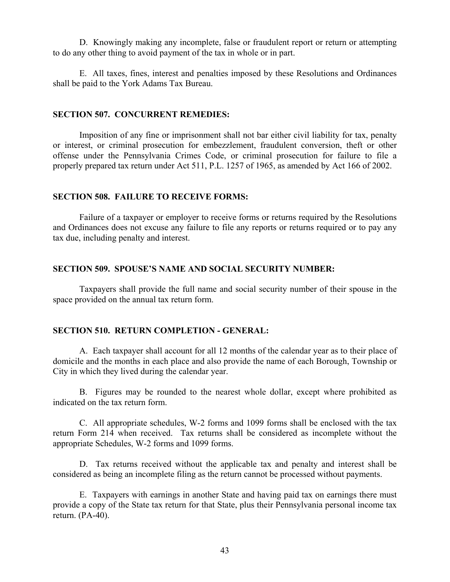D. Knowingly making any incomplete, false or fraudulent report or return or attempting to do any other thing to avoid payment of the tax in whole or in part.

 E. All taxes, fines, interest and penalties imposed by these Resolutions and Ordinances shall be paid to the York Adams Tax Bureau.

### **SECTION 507. CONCURRENT REMEDIES:**

Imposition of any fine or imprisonment shall not bar either civil liability for tax, penalty or interest, or criminal prosecution for embezzlement, fraudulent conversion, theft or other offense under the Pennsylvania Crimes Code, or criminal prosecution for failure to file a properly prepared tax return under Act 511, P.L. 1257 of 1965, as amended by Act 166 of 2002.

### **SECTION 508. FAILURE TO RECEIVE FORMS:**

Failure of a taxpayer or employer to receive forms or returns required by the Resolutions and Ordinances does not excuse any failure to file any reports or returns required or to pay any tax due, including penalty and interest.

### **SECTION 509. SPOUSE'S NAME AND SOCIAL SECURITY NUMBER:**

 Taxpayers shall provide the full name and social security number of their spouse in the space provided on the annual tax return form.

### **SECTION 510. RETURN COMPLETION - GENERAL:**

 A. Each taxpayer shall account for all 12 months of the calendar year as to their place of domicile and the months in each place and also provide the name of each Borough, Township or City in which they lived during the calendar year.

 B. Figures may be rounded to the nearest whole dollar, except where prohibited as indicated on the tax return form.

 C. All appropriate schedules, W-2 forms and 1099 forms shall be enclosed with the tax return Form 214 when received. Tax returns shall be considered as incomplete without the appropriate Schedules, W-2 forms and 1099 forms.

 D. Tax returns received without the applicable tax and penalty and interest shall be considered as being an incomplete filing as the return cannot be processed without payments.

 E. Taxpayers with earnings in another State and having paid tax on earnings there must provide a copy of the State tax return for that State, plus their Pennsylvania personal income tax return. (PA-40).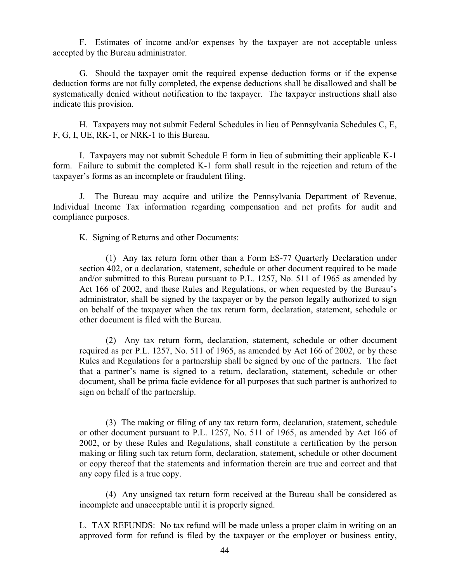F. Estimates of income and/or expenses by the taxpayer are not acceptable unless accepted by the Bureau administrator.

 G. Should the taxpayer omit the required expense deduction forms or if the expense deduction forms are not fully completed, the expense deductions shall be disallowed and shall be systematically denied without notification to the taxpayer. The taxpayer instructions shall also indicate this provision.

 H. Taxpayers may not submit Federal Schedules in lieu of Pennsylvania Schedules C, E, F, G, I, UE, RK-1, or NRK-1 to this Bureau.

 I. Taxpayers may not submit Schedule E form in lieu of submitting their applicable K-1 form. Failure to submit the completed K-1 form shall result in the rejection and return of the taxpayer's forms as an incomplete or fraudulent filing.

 J. The Bureau may acquire and utilize the Pennsylvania Department of Revenue, Individual Income Tax information regarding compensation and net profits for audit and compliance purposes.

K. Signing of Returns and other Documents:

 (1) Any tax return form other than a Form ES-77 Quarterly Declaration under section 402, or a declaration, statement, schedule or other document required to be made and/or submitted to this Bureau pursuant to P.L. 1257, No. 511 of 1965 as amended by Act 166 of 2002, and these Rules and Regulations, or when requested by the Bureau's administrator, shall be signed by the taxpayer or by the person legally authorized to sign on behalf of the taxpayer when the tax return form, declaration, statement, schedule or other document is filed with the Bureau.

 (2) Any tax return form, declaration, statement, schedule or other document required as per P.L. 1257, No. 511 of 1965, as amended by Act 166 of 2002, or by these Rules and Regulations for a partnership shall be signed by one of the partners. The fact that a partner's name is signed to a return, declaration, statement, schedule or other document, shall be prima facie evidence for all purposes that such partner is authorized to sign on behalf of the partnership.

 (3) The making or filing of any tax return form, declaration, statement, schedule or other document pursuant to P.L. 1257, No. 511 of 1965, as amended by Act 166 of 2002, or by these Rules and Regulations, shall constitute a certification by the person making or filing such tax return form, declaration, statement, schedule or other document or copy thereof that the statements and information therein are true and correct and that any copy filed is a true copy.

 (4) Any unsigned tax return form received at the Bureau shall be considered as incomplete and unacceptable until it is properly signed.

 L. TAX REFUNDS: No tax refund will be made unless a proper claim in writing on an approved form for refund is filed by the taxpayer or the employer or business entity,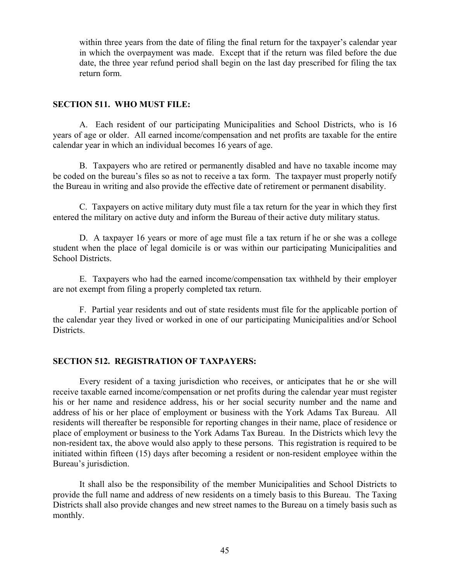within three years from the date of filing the final return for the taxpayer's calendar year in which the overpayment was made. Except that if the return was filed before the due date, the three year refund period shall begin on the last day prescribed for filing the tax return form.

### **SECTION 511. WHO MUST FILE:**

 A. Each resident of our participating Municipalities and School Districts, who is 16 years of age or older. All earned income/compensation and net profits are taxable for the entire calendar year in which an individual becomes 16 years of age.

 B. Taxpayers who are retired or permanently disabled and have no taxable income may be coded on the bureau's files so as not to receive a tax form. The taxpayer must properly notify the Bureau in writing and also provide the effective date of retirement or permanent disability.

 C. Taxpayers on active military duty must file a tax return for the year in which they first entered the military on active duty and inform the Bureau of their active duty military status.

 D. A taxpayer 16 years or more of age must file a tax return if he or she was a college student when the place of legal domicile is or was within our participating Municipalities and School Districts.

 E. Taxpayers who had the earned income/compensation tax withheld by their employer are not exempt from filing a properly completed tax return.

 F. Partial year residents and out of state residents must file for the applicable portion of the calendar year they lived or worked in one of our participating Municipalities and/or School Districts.

### **SECTION 512. REGISTRATION OF TAXPAYERS:**

 Every resident of a taxing jurisdiction who receives, or anticipates that he or she will receive taxable earned income/compensation or net profits during the calendar year must register his or her name and residence address, his or her social security number and the name and address of his or her place of employment or business with the York Adams Tax Bureau. All residents will thereafter be responsible for reporting changes in their name, place of residence or place of employment or business to the York Adams Tax Bureau. In the Districts which levy the non-resident tax, the above would also apply to these persons. This registration is required to be initiated within fifteen (15) days after becoming a resident or non-resident employee within the Bureau's jurisdiction.

 It shall also be the responsibility of the member Municipalities and School Districts to provide the full name and address of new residents on a timely basis to this Bureau. The Taxing Districts shall also provide changes and new street names to the Bureau on a timely basis such as monthly.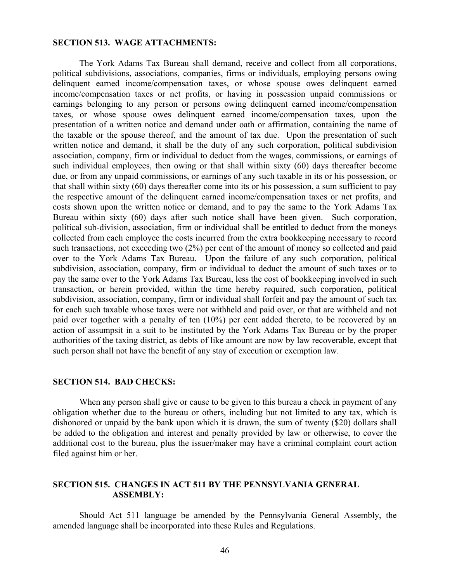### **SECTION 513. WAGE ATTACHMENTS:**

 The York Adams Tax Bureau shall demand, receive and collect from all corporations, political subdivisions, associations, companies, firms or individuals, employing persons owing delinquent earned income/compensation taxes, or whose spouse owes delinquent earned income/compensation taxes or net profits, or having in possession unpaid commissions or earnings belonging to any person or persons owing delinquent earned income/compensation taxes, or whose spouse owes delinquent earned income/compensation taxes, upon the presentation of a written notice and demand under oath or affirmation, containing the name of the taxable or the spouse thereof, and the amount of tax due. Upon the presentation of such written notice and demand, it shall be the duty of any such corporation, political subdivision association, company, firm or individual to deduct from the wages, commissions, or earnings of such individual employees, then owing or that shall within sixty (60) days thereafter become due, or from any unpaid commissions, or earnings of any such taxable in its or his possession, or that shall within sixty (60) days thereafter come into its or his possession, a sum sufficient to pay the respective amount of the delinquent earned income/compensation taxes or net profits, and costs shown upon the written notice or demand, and to pay the same to the York Adams Tax Bureau within sixty (60) days after such notice shall have been given. Such corporation, political sub-division, association, firm or individual shall be entitled to deduct from the moneys collected from each employee the costs incurred from the extra bookkeeping necessary to record such transactions, not exceeding two (2%) per cent of the amount of money so collected and paid over to the York Adams Tax Bureau. Upon the failure of any such corporation, political subdivision, association, company, firm or individual to deduct the amount of such taxes or to pay the same over to the York Adams Tax Bureau, less the cost of bookkeeping involved in such transaction, or herein provided, within the time hereby required, such corporation, political subdivision, association, company, firm or individual shall forfeit and pay the amount of such tax for each such taxable whose taxes were not withheld and paid over, or that are withheld and not paid over together with a penalty of ten (10%) per cent added thereto, to be recovered by an action of assumpsit in a suit to be instituted by the York Adams Tax Bureau or by the proper authorities of the taxing district, as debts of like amount are now by law recoverable, except that such person shall not have the benefit of any stay of execution or exemption law.

### **SECTION 514. BAD CHECKS:**

When any person shall give or cause to be given to this bureau a check in payment of any obligation whether due to the bureau or others, including but not limited to any tax, which is dishonored or unpaid by the bank upon which it is drawn, the sum of twenty (\$20) dollars shall be added to the obligation and interest and penalty provided by law or otherwise, to cover the additional cost to the bureau, plus the issuer/maker may have a criminal complaint court action filed against him or her.

### **SECTION 515. CHANGES IN ACT 511 BY THE PENNSYLVANIA GENERAL ASSEMBLY:**

 Should Act 511 language be amended by the Pennsylvania General Assembly, the amended language shall be incorporated into these Rules and Regulations.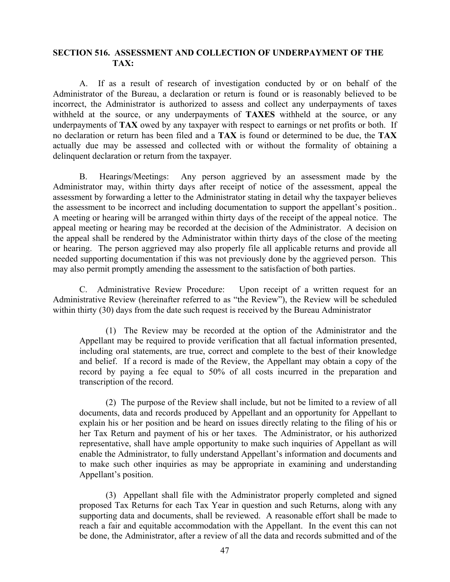### **SECTION 516. ASSESSMENT AND COLLECTION OF UNDERPAYMENT OF THE TAX:**

 A. If as a result of research of investigation conducted by or on behalf of the Administrator of the Bureau, a declaration or return is found or is reasonably believed to be incorrect, the Administrator is authorized to assess and collect any underpayments of taxes withheld at the source, or any underpayments of **TAXES** withheld at the source, or any underpayments of **TAX** owed by any taxpayer with respect to earnings or net profits or both. If no declaration or return has been filed and a **TAX** is found or determined to be due, the **TAX** actually due may be assessed and collected with or without the formality of obtaining a delinquent declaration or return from the taxpayer.

 B. Hearings/Meetings: Any person aggrieved by an assessment made by the Administrator may, within thirty days after receipt of notice of the assessment, appeal the assessment by forwarding a letter to the Administrator stating in detail why the taxpayer believes the assessment to be incorrect and including documentation to support the appellant's position.. A meeting or hearing will be arranged within thirty days of the receipt of the appeal notice. The appeal meeting or hearing may be recorded at the decision of the Administrator. A decision on the appeal shall be rendered by the Administrator within thirty days of the close of the meeting or hearing. The person aggrieved may also properly file all applicable returns and provide all needed supporting documentation if this was not previously done by the aggrieved person. This may also permit promptly amending the assessment to the satisfaction of both parties.

 C. Administrative Review Procedure: Upon receipt of a written request for an Administrative Review (hereinafter referred to as "the Review"), the Review will be scheduled within thirty (30) days from the date such request is received by the Bureau Administrator

 (1) The Review may be recorded at the option of the Administrator and the Appellant may be required to provide verification that all factual information presented, including oral statements, are true, correct and complete to the best of their knowledge and belief. If a record is made of the Review, the Appellant may obtain a copy of the record by paying a fee equal to 50% of all costs incurred in the preparation and transcription of the record.

 (2) The purpose of the Review shall include, but not be limited to a review of all documents, data and records produced by Appellant and an opportunity for Appellant to explain his or her position and be heard on issues directly relating to the filing of his or her Tax Return and payment of his or her taxes. The Administrator, or his authorized representative, shall have ample opportunity to make such inquiries of Appellant as will enable the Administrator, to fully understand Appellant's information and documents and to make such other inquiries as may be appropriate in examining and understanding Appellant's position.

 (3) Appellant shall file with the Administrator properly completed and signed proposed Tax Returns for each Tax Year in question and such Returns, along with any supporting data and documents, shall be reviewed. A reasonable effort shall be made to reach a fair and equitable accommodation with the Appellant. In the event this can not be done, the Administrator, after a review of all the data and records submitted and of the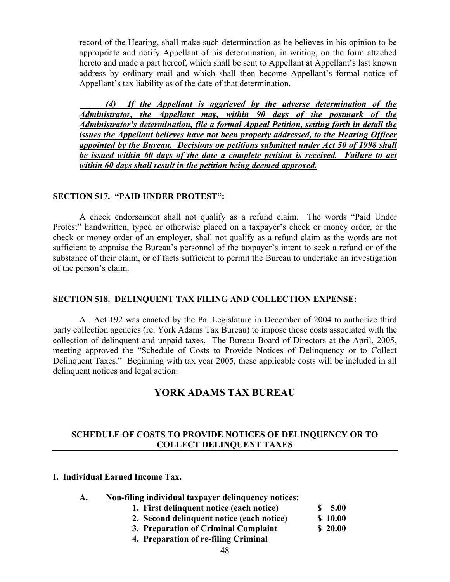record of the Hearing, shall make such determination as he believes in his opinion to be appropriate and notify Appellant of his determination, in writing, on the form attached hereto and made a part hereof, which shall be sent to Appellant at Appellant's last known address by ordinary mail and which shall then become Appellant's formal notice of Appellant's tax liability as of the date of that determination.

 *(4) If the Appellant is aggrieved by the adverse determination of the Administrator, the Appellant may, within 90 days of the postmark of the Administrator's determination, file a formal Appeal Petition, setting forth in detail the issues the Appellant believes have not been properly addressed, to the Hearing Officer appointed by the Bureau. Decisions on petitions submitted under Act 50 of 1998 shall be issued within 60 days of the date a complete petition is received. Failure to act within 60 days shall result in the petition being deemed approved.*

### **SECTION 517. "PAID UNDER PROTEST":**

A check endorsement shall not qualify as a refund claim. The words "Paid Under Protest" handwritten, typed or otherwise placed on a taxpayer's check or money order, or the check or money order of an employer, shall not qualify as a refund claim as the words are not sufficient to appraise the Bureau's personnel of the taxpayer's intent to seek a refund or of the substance of their claim, or of facts sufficient to permit the Bureau to undertake an investigation of the person's claim.

### **SECTION 518. DELINQUENT TAX FILING AND COLLECTION EXPENSE:**

 A. Act 192 was enacted by the Pa. Legislature in December of 2004 to authorize third party collection agencies (re: York Adams Tax Bureau) to impose those costs associated with the collection of delinquent and unpaid taxes. The Bureau Board of Directors at the April, 2005, meeting approved the "Schedule of Costs to Provide Notices of Delinquency or to Collect Delinquent Taxes." Beginning with tax year 2005, these applicable costs will be included in all delinquent notices and legal action:

# **YORK ADAMS TAX BUREAU**

### **SCHEDULE OF COSTS TO PROVIDE NOTICES OF DELINQUENCY OR TO COLLECT DELINQUENT TAXES**

### **I. Individual Earned Income Tax.**

|  |  |  |  |  | Non-filing individual taxpayer delinquency notices: |
|--|--|--|--|--|-----------------------------------------------------|
|--|--|--|--|--|-----------------------------------------------------|

- **1. First delinquent notice (each notice) \$ 5.00**
- **2. Second delinquent notice (each notice) \$ 10.00**
- **3. Preparation of Criminal Complaint \$ 20.00**
- **4. Preparation of re-filing Criminal**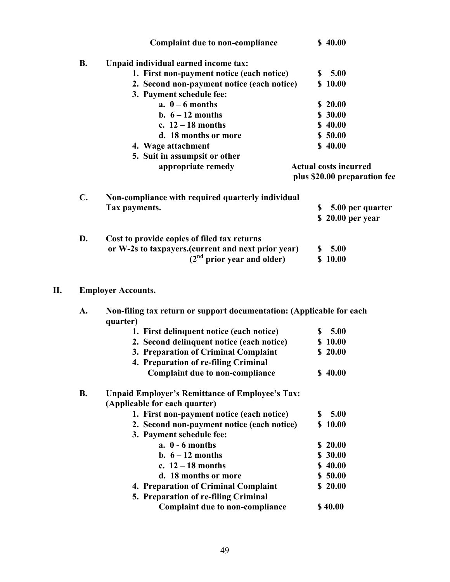|                | <b>Complaint due to non-compliance</b>             |    | \$40.00                      |
|----------------|----------------------------------------------------|----|------------------------------|
| <b>B.</b>      | Unpaid individual earned income tax:               |    |                              |
|                | 1. First non-payment notice (each notice)          | S. | 5.00                         |
|                | 2. Second non-payment notice (each notice)         |    | \$10.00                      |
|                | 3. Payment schedule fee:                           |    |                              |
|                | a. $0 - 6$ months                                  |    | \$20.00                      |
|                | b. $6-12$ months                                   |    | \$30.00                      |
|                | c. $12 - 18$ months                                |    | \$40.00                      |
|                | d. 18 months or more                               |    | \$50.00                      |
|                | 4. Wage attachment                                 |    | \$40.00                      |
|                | 5. Suit in assumpsit or other                      |    |                              |
|                | appropriate remedy                                 |    | <b>Actual costs incurred</b> |
|                |                                                    |    | plus \$20.00 preparation fee |
| $\mathbf{C}$ . | Non-compliance with required quarterly individual  |    |                              |
|                | Tax payments.                                      | S  | 5.00 per quarter             |
|                |                                                    |    | \$20.00 per year             |
| D.             | Cost to provide copies of filed tax returns        |    |                              |
|                | or W-2s to taxpayers.(current and next prior year) |    | \$5.00                       |
|                | (2 <sup>nd</sup> prior year and older)             |    | \$10.00                      |
|                |                                                    |    |                              |
| П.             | <b>Employer Accounts.</b>                          |    |                              |

### **II. Employer Accounts.**

| A.        | Non-filing tax return or support documentation: (Applicable for each<br>quarter) |            |  |  |
|-----------|----------------------------------------------------------------------------------|------------|--|--|
|           | 1. First delinquent notice (each notice)                                         | 5.00<br>S  |  |  |
|           | 2. Second delinquent notice (each notice)                                        | \$10.00    |  |  |
|           | 3. Preparation of Criminal Complaint                                             | \$20.00    |  |  |
|           | 4. Preparation of re-filing Criminal                                             |            |  |  |
|           | <b>Complaint due to non-compliance</b>                                           | \$40.00    |  |  |
| <b>B.</b> | <b>Unpaid Employer's Remittance of Employee's Tax:</b>                           |            |  |  |
|           | (Applicable for each quarter)                                                    |            |  |  |
|           | 1. First non-payment notice (each notice)                                        | 5.00<br>S. |  |  |
|           | 2. Second non-payment notice (each notice)                                       | \$10.00    |  |  |
|           | 3. Payment schedule fee:                                                         |            |  |  |
|           | $a. 0 - 6$ months                                                                | \$20.00    |  |  |
|           | b. $6-12$ months                                                                 | \$30.00    |  |  |
|           | c. $12-18$ months                                                                | \$40.00    |  |  |
|           | d. 18 months or more                                                             | \$50.00    |  |  |
|           | 4. Preparation of Criminal Complaint                                             | \$20.00    |  |  |
|           | 5. Preparation of re-filing Criminal                                             |            |  |  |
|           | <b>Complaint due to non-compliance</b>                                           | \$40.00    |  |  |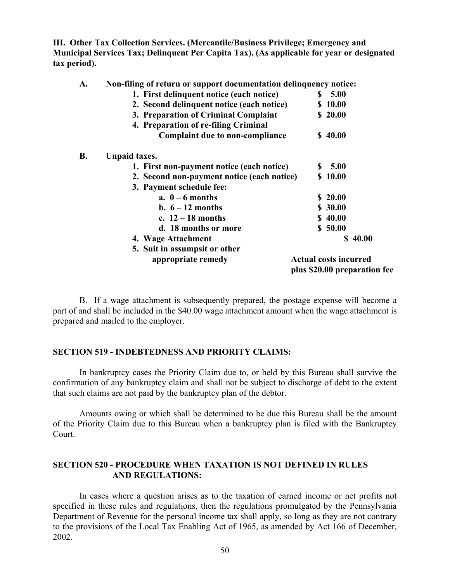**III. Other Tax Collection Services. (Mercantile/Business Privilege; Emergency and Municipal Services Tax; Delinquent Per Capita Tax). (As applicable for year or designated tax period).** 

| A.        | Non-filing of return or support documentation delinquency notice: |                              |  |  |
|-----------|-------------------------------------------------------------------|------------------------------|--|--|
|           | 1. First delinquent notice (each notice)                          | \$5.00                       |  |  |
|           | 2. Second delinquent notice (each notice)                         | \$10.00                      |  |  |
|           | 3. Preparation of Criminal Complaint                              | \$20.00                      |  |  |
|           | 4. Preparation of re-filing Criminal                              |                              |  |  |
|           | <b>Complaint due to non-compliance</b>                            | \$40.00                      |  |  |
| <b>B.</b> | <b>Unpaid taxes.</b>                                              |                              |  |  |
|           | 1. First non-payment notice (each notice)                         | 5.00<br>S.                   |  |  |
|           | 2. Second non-payment notice (each notice)                        | \$10.00                      |  |  |
|           | 3. Payment schedule fee:                                          |                              |  |  |
|           | a. $0 - 6$ months                                                 | \$20.00                      |  |  |
|           | b. $6-12$ months                                                  | \$30.00                      |  |  |
|           | c. $12 - 18$ months                                               | \$40.00                      |  |  |
|           | d. 18 months or more                                              | \$50.00                      |  |  |
|           | 4. Wage Attachment                                                | \$40.00                      |  |  |
|           | 5. Suit in assumpsit or other                                     |                              |  |  |
|           | appropriate remedy                                                | <b>Actual costs incurred</b> |  |  |
|           |                                                                   | plus \$20.00 preparation fee |  |  |

 B. If a wage attachment is subsequently prepared, the postage expense will become a part of and shall be included in the \$40.00 wage attachment amount when the wage attachment is prepared and mailed to the employer.

### **SECTION 519 - INDEBTEDNESS AND PRIORITY CLAIMS:**

 In bankruptcy cases the Priority Claim due to, or held by this Bureau shall survive the confirmation of any bankruptcy claim and shall not be subject to discharge of debt to the extent that such claims are not paid by the bankruptcy plan of the debtor.

 Amounts owing or which shall be determined to be due this Bureau shall be the amount of the Priority Claim due to this Bureau when a bankruptcy plan is filed with the Bankruptcy Court.

### **SECTION 520 - PROCEDURE WHEN TAXATION IS NOT DEFINED IN RULES AND REGULATIONS:**

 In cases where a question arises as to the taxation of earned income or net profits not specified in these rules and regulations, then the regulations promulgated by the Pennsylvania Department of Revenue for the personal income tax shall apply, so long as they are not contrary to the provisions of the Local Tax Enabling Act of 1965, as amended by Act 166 of December, 2002.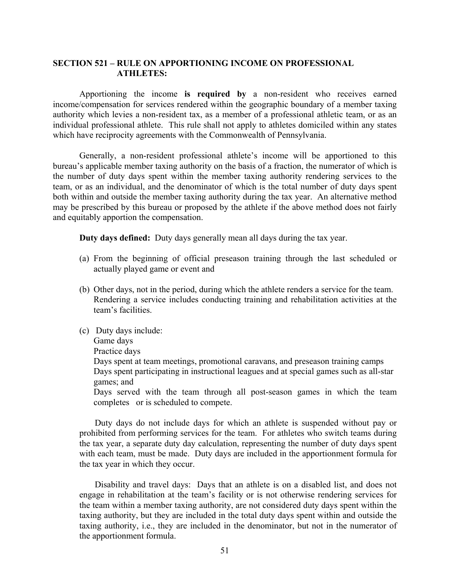### **SECTION 521 – RULE ON APPORTIONING INCOME ON PROFESSIONAL ATHLETES:**

 Apportioning the income **is required by** a non-resident who receives earned income/compensation for services rendered within the geographic boundary of a member taxing authority which levies a non-resident tax, as a member of a professional athletic team, or as an individual professional athlete. This rule shall not apply to athletes domiciled within any states which have reciprocity agreements with the Commonwealth of Pennsylvania.

 Generally, a non-resident professional athlete's income will be apportioned to this bureau's applicable member taxing authority on the basis of a fraction, the numerator of which is the number of duty days spent within the member taxing authority rendering services to the team, or as an individual, and the denominator of which is the total number of duty days spent both within and outside the member taxing authority during the tax year. An alternative method may be prescribed by this bureau or proposed by the athlete if the above method does not fairly and equitably apportion the compensation.

**Duty days defined:** Duty days generally mean all days during the tax year.

- (a) From the beginning of official preseason training through the last scheduled or actually played game or event and
- (b) Other days, not in the period, during which the athlete renders a service for the team. Rendering a service includes conducting training and rehabilitation activities at the team's facilities.
- (c) Duty days include: Game days Practice days Days spent at team meetings, promotional caravans, and preseason training camps Days spent participating in instructional leagues and at special games such as all-star games; and Days served with the team through all post-season games in which the team completes or is scheduled to compete.

 Duty days do not include days for which an athlete is suspended without pay or prohibited from performing services for the team. For athletes who switch teams during the tax year, a separate duty day calculation, representing the number of duty days spent with each team, must be made. Duty days are included in the apportionment formula for the tax year in which they occur.

 Disability and travel days: Days that an athlete is on a disabled list, and does not engage in rehabilitation at the team's facility or is not otherwise rendering services for the team within a member taxing authority, are not considered duty days spent within the taxing authority, but they are included in the total duty days spent within and outside the taxing authority, i.e., they are included in the denominator, but not in the numerator of the apportionment formula.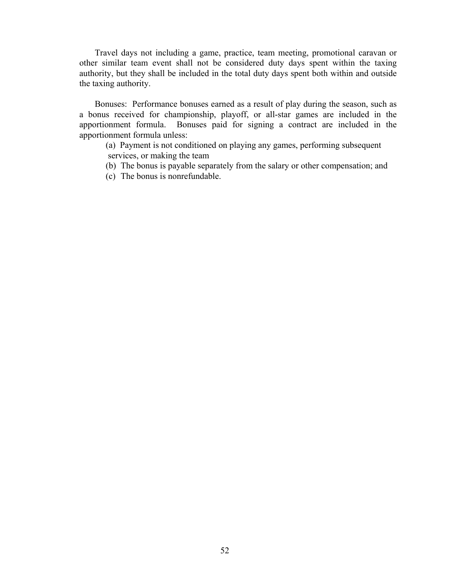Travel days not including a game, practice, team meeting, promotional caravan or other similar team event shall not be considered duty days spent within the taxing authority, but they shall be included in the total duty days spent both within and outside the taxing authority.

 Bonuses: Performance bonuses earned as a result of play during the season, such as a bonus received for championship, playoff, or all-star games are included in the apportionment formula. Bonuses paid for signing a contract are included in the apportionment formula unless:

 (a) Payment is not conditioned on playing any games, performing subsequent services, or making the team

(b) The bonus is payable separately from the salary or other compensation; and

(c) The bonus is nonrefundable.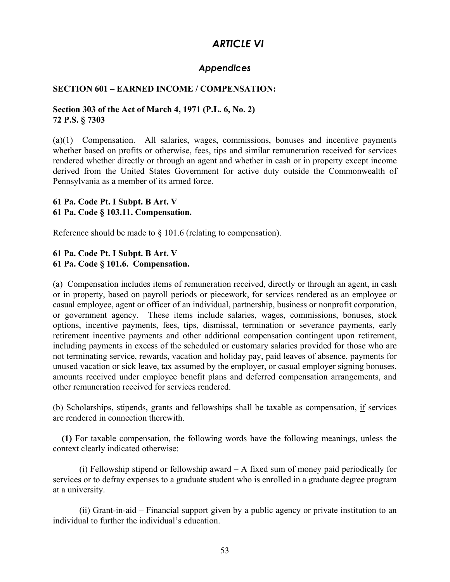# *ARTICLE VI*

# *Appendices*

## **SECTION 601 – EARNED INCOME / COMPENSATION:**

### **Section 303 of the Act of March 4, 1971 (P.L. 6, No. 2) 72 P.S. § 7303**

(a)(1) Compensation. All salaries, wages, commissions, bonuses and incentive payments whether based on profits or otherwise, fees, tips and similar remuneration received for services rendered whether directly or through an agent and whether in cash or in property except income derived from the United States Government for active duty outside the Commonwealth of Pennsylvania as a member of its armed force.

### **61 Pa. Code Pt. I Subpt. B Art. V 61 Pa. Code § 103.11. Compensation.**

Reference should be made to § 101.6 (relating to compensation).

# **61 Pa. Code Pt. I Subpt. B Art. V 61 Pa. Code § 101.6. Compensation.**

(a) Compensation includes items of remuneration received, directly or through an agent, in cash or in property, based on payroll periods or piecework, for services rendered as an employee or casual employee, agent or officer of an individual, partnership, business or nonprofit corporation, or government agency. These items include salaries, wages, commissions, bonuses, stock options, incentive payments, fees, tips, dismissal, termination or severance payments, early retirement incentive payments and other additional compensation contingent upon retirement, including payments in excess of the scheduled or customary salaries provided for those who are not terminating service, rewards, vacation and holiday pay, paid leaves of absence, payments for unused vacation or sick leave, tax assumed by the employer, or casual employer signing bonuses, amounts received under employee benefit plans and deferred compensation arrangements, and other remuneration received for services rendered.

(b) Scholarships, stipends, grants and fellowships shall be taxable as compensation, if services are rendered in connection therewith.

 **(1)** For taxable compensation, the following words have the following meanings, unless the context clearly indicated otherwise:

 (i) Fellowship stipend or fellowship award – A fixed sum of money paid periodically for services or to defray expenses to a graduate student who is enrolled in a graduate degree program at a university.

 (ii) Grant-in-aid – Financial support given by a public agency or private institution to an individual to further the individual's education.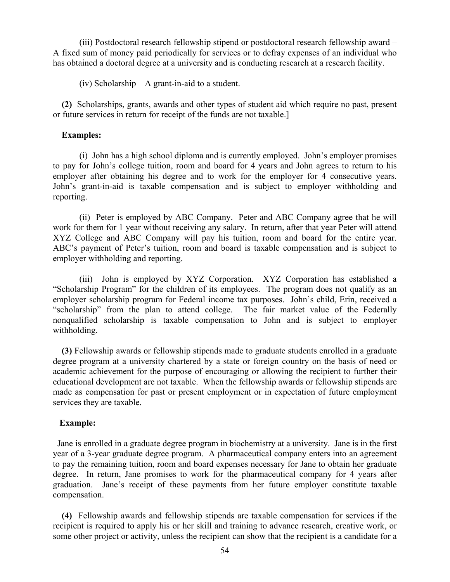(iii) Postdoctoral research fellowship stipend or postdoctoral research fellowship award – A fixed sum of money paid periodically for services or to defray expenses of an individual who has obtained a doctoral degree at a university and is conducting research at a research facility.

(iv) Scholarship – A grant-in-aid to a student.

 **(2)** Scholarships, grants, awards and other types of student aid which require no past, present or future services in return for receipt of the funds are not taxable.]

### **Examples:**

 (i) John has a high school diploma and is currently employed. John's employer promises to pay for John's college tuition, room and board for 4 years and John agrees to return to his employer after obtaining his degree and to work for the employer for 4 consecutive years. John's grant-in-aid is taxable compensation and is subject to employer withholding and reporting.

 (ii) Peter is employed by ABC Company. Peter and ABC Company agree that he will work for them for 1 year without receiving any salary. In return, after that year Peter will attend XYZ College and ABC Company will pay his tuition, room and board for the entire year. ABC's payment of Peter's tuition, room and board is taxable compensation and is subject to employer withholding and reporting.

 (iii) John is employed by XYZ Corporation. XYZ Corporation has established a "Scholarship Program" for the children of its employees. The program does not qualify as an employer scholarship program for Federal income tax purposes. John's child, Erin, received a "scholarship" from the plan to attend college. The fair market value of the Federally nonqualified scholarship is taxable compensation to John and is subject to employer withholding.

 **(3)** Fellowship awards or fellowship stipends made to graduate students enrolled in a graduate degree program at a university chartered by a state or foreign country on the basis of need or academic achievement for the purpose of encouraging or allowing the recipient to further their educational development are not taxable. When the fellowship awards or fellowship stipends are made as compensation for past or present employment or in expectation of future employment services they are taxable.

### **Example:**

 Jane is enrolled in a graduate degree program in biochemistry at a university. Jane is in the first year of a 3-year graduate degree program. A pharmaceutical company enters into an agreement to pay the remaining tuition, room and board expenses necessary for Jane to obtain her graduate degree. In return, Jane promises to work for the pharmaceutical company for 4 years after graduation. Jane's receipt of these payments from her future employer constitute taxable compensation.

 **(4)** Fellowship awards and fellowship stipends are taxable compensation for services if the recipient is required to apply his or her skill and training to advance research, creative work, or some other project or activity, unless the recipient can show that the recipient is a candidate for a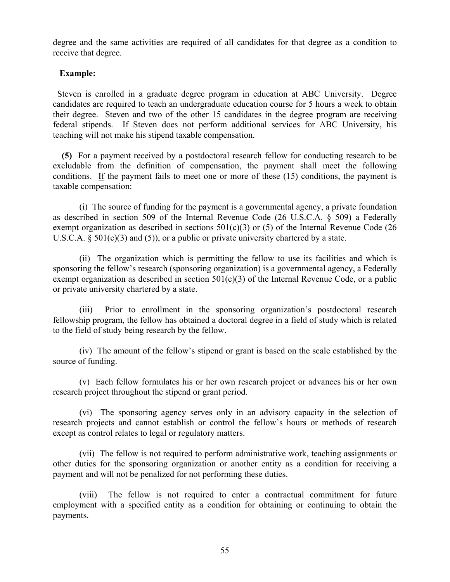degree and the same activities are required of all candidates for that degree as a condition to receive that degree.

## **Example:**

 Steven is enrolled in a graduate degree program in education at ABC University. Degree candidates are required to teach an undergraduate education course for 5 hours a week to obtain their degree. Steven and two of the other 15 candidates in the degree program are receiving federal stipends. If Steven does not perform additional services for ABC University, his teaching will not make his stipend taxable compensation.

 **(5)** For a payment received by a postdoctoral research fellow for conducting research to be excludable from the definition of compensation, the payment shall meet the following conditions. If the payment fails to meet one or more of these (15) conditions, the payment is taxable compensation:

 (i) The source of funding for the payment is a governmental agency, a private foundation as described in section 509 of the Internal Revenue Code (26 U.S.C.A. § 509) a Federally exempt organization as described in sections  $501(c)(3)$  or (5) of the Internal Revenue Code (26) U.S.C.A.  $\S$  501(c)(3) and (5)), or a public or private university chartered by a state.

 (ii) The organization which is permitting the fellow to use its facilities and which is sponsoring the fellow's research (sponsoring organization) is a governmental agency, a Federally exempt organization as described in section  $501(c)(3)$  of the Internal Revenue Code, or a public or private university chartered by a state.

 (iii) Prior to enrollment in the sponsoring organization's postdoctoral research fellowship program, the fellow has obtained a doctoral degree in a field of study which is related to the field of study being research by the fellow.

 (iv) The amount of the fellow's stipend or grant is based on the scale established by the source of funding.

 (v) Each fellow formulates his or her own research project or advances his or her own research project throughout the stipend or grant period.

 (vi) The sponsoring agency serves only in an advisory capacity in the selection of research projects and cannot establish or control the fellow's hours or methods of research except as control relates to legal or regulatory matters.

 (vii) The fellow is not required to perform administrative work, teaching assignments or other duties for the sponsoring organization or another entity as a condition for receiving a payment and will not be penalized for not performing these duties.

 (viii) The fellow is not required to enter a contractual commitment for future employment with a specified entity as a condition for obtaining or continuing to obtain the payments.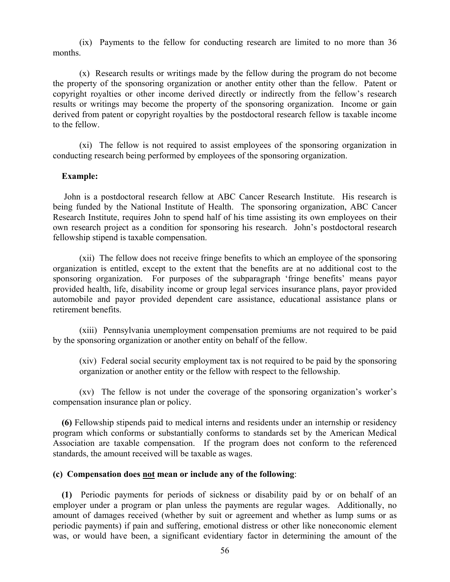(ix) Payments to the fellow for conducting research are limited to no more than 36 months.

 (x) Research results or writings made by the fellow during the program do not become the property of the sponsoring organization or another entity other than the fellow. Patent or copyright royalties or other income derived directly or indirectly from the fellow's research results or writings may become the property of the sponsoring organization. Income or gain derived from patent or copyright royalties by the postdoctoral research fellow is taxable income to the fellow.

 (xi) The fellow is not required to assist employees of the sponsoring organization in conducting research being performed by employees of the sponsoring organization.

### **Example:**

 John is a postdoctoral research fellow at ABC Cancer Research Institute. His research is being funded by the National Institute of Health. The sponsoring organization, ABC Cancer Research Institute, requires John to spend half of his time assisting its own employees on their own research project as a condition for sponsoring his research. John's postdoctoral research fellowship stipend is taxable compensation.

 (xii) The fellow does not receive fringe benefits to which an employee of the sponsoring organization is entitled, except to the extent that the benefits are at no additional cost to the sponsoring organization. For purposes of the subparagraph 'fringe benefits' means payor provided health, life, disability income or group legal services insurance plans, payor provided automobile and payor provided dependent care assistance, educational assistance plans or retirement benefits.

 (xiii) Pennsylvania unemployment compensation premiums are not required to be paid by the sponsoring organization or another entity on behalf of the fellow.

(xiv) Federal social security employment tax is not required to be paid by the sponsoring organization or another entity or the fellow with respect to the fellowship.

 (xv) The fellow is not under the coverage of the sponsoring organization's worker's compensation insurance plan or policy.

 **(6)** Fellowship stipends paid to medical interns and residents under an internship or residency program which conforms or substantially conforms to standards set by the American Medical Association are taxable compensation. If the program does not conform to the referenced standards, the amount received will be taxable as wages.

### **(c) Compensation does not mean or include any of the following**:

 **(1)** Periodic payments for periods of sickness or disability paid by or on behalf of an employer under a program or plan unless the payments are regular wages. Additionally, no amount of damages received (whether by suit or agreement and whether as lump sums or as periodic payments) if pain and suffering, emotional distress or other like noneconomic element was, or would have been, a significant evidentiary factor in determining the amount of the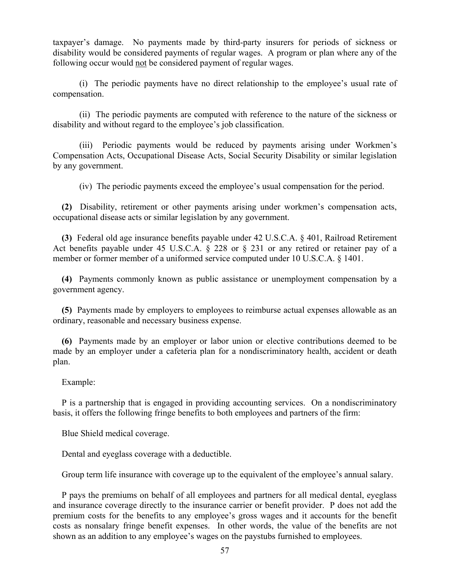taxpayer's damage. No payments made by third-party insurers for periods of sickness or disability would be considered payments of regular wages. A program or plan where any of the following occur would not be considered payment of regular wages.

 (i) The periodic payments have no direct relationship to the employee's usual rate of compensation.

 (ii) The periodic payments are computed with reference to the nature of the sickness or disability and without regard to the employee's job classification.

 (iii) Periodic payments would be reduced by payments arising under Workmen's Compensation Acts, Occupational Disease Acts, Social Security Disability or similar legislation by any government.

(iv) The periodic payments exceed the employee's usual compensation for the period.

 **(2)** Disability, retirement or other payments arising under workmen's compensation acts, occupational disease acts or similar legislation by any government.

 **(3)** Federal old age insurance benefits payable under 42 U.S.C.A. § 401, Railroad Retirement Act benefits payable under 45 U.S.C.A. § 228 or § 231 or any retired or retainer pay of a member or former member of a uniformed service computed under 10 U.S.C.A. § 1401.

 **(4)** Payments commonly known as public assistance or unemployment compensation by a government agency.

 **(5)** Payments made by employers to employees to reimburse actual expenses allowable as an ordinary, reasonable and necessary business expense.

 **(6)** Payments made by an employer or labor union or elective contributions deemed to be made by an employer under a cafeteria plan for a nondiscriminatory health, accident or death plan.

Example:

 P is a partnership that is engaged in providing accounting services. On a nondiscriminatory basis, it offers the following fringe benefits to both employees and partners of the firm:

Blue Shield medical coverage.

Dental and eyeglass coverage with a deductible.

Group term life insurance with coverage up to the equivalent of the employee's annual salary.

 P pays the premiums on behalf of all employees and partners for all medical dental, eyeglass and insurance coverage directly to the insurance carrier or benefit provider. P does not add the premium costs for the benefits to any employee's gross wages and it accounts for the benefit costs as nonsalary fringe benefit expenses. In other words, the value of the benefits are not shown as an addition to any employee's wages on the paystubs furnished to employees.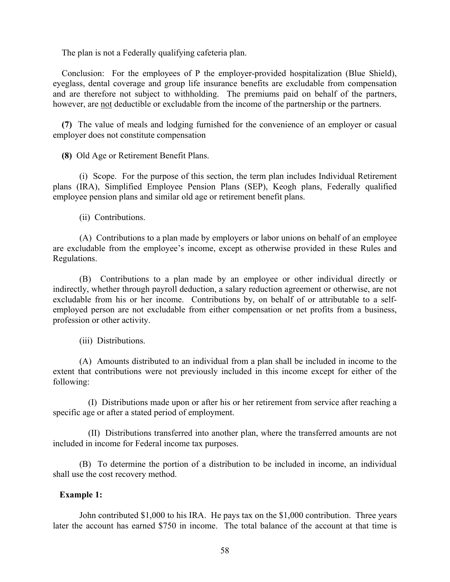The plan is not a Federally qualifying cafeteria plan.

 Conclusion: For the employees of P the employer-provided hospitalization (Blue Shield), eyeglass, dental coverage and group life insurance benefits are excludable from compensation and are therefore not subject to withholding. The premiums paid on behalf of the partners, however, are not deductible or excludable from the income of the partnership or the partners.

 **(7)** The value of meals and lodging furnished for the convenience of an employer or casual employer does not constitute compensation

 **(8)** Old Age or Retirement Benefit Plans.

 (i) Scope. For the purpose of this section, the term plan includes Individual Retirement plans (IRA), Simplified Employee Pension Plans (SEP), Keogh plans, Federally qualified employee pension plans and similar old age or retirement benefit plans.

(ii) Contributions.

 (A) Contributions to a plan made by employers or labor unions on behalf of an employee are excludable from the employee's income, except as otherwise provided in these Rules and Regulations.

 (B) Contributions to a plan made by an employee or other individual directly or indirectly, whether through payroll deduction, a salary reduction agreement or otherwise, are not excludable from his or her income. Contributions by, on behalf of or attributable to a selfemployed person are not excludable from either compensation or net profits from a business, profession or other activity.

(iii) Distributions.

 (A) Amounts distributed to an individual from a plan shall be included in income to the extent that contributions were not previously included in this income except for either of the following:

 (I) Distributions made upon or after his or her retirement from service after reaching a specific age or after a stated period of employment.

 (II) Distributions transferred into another plan, where the transferred amounts are not included in income for Federal income tax purposes.

 (B) To determine the portion of a distribution to be included in income, an individual shall use the cost recovery method.

# **Example 1:**

 John contributed \$1,000 to his IRA. He pays tax on the \$1,000 contribution. Three years later the account has earned \$750 in income. The total balance of the account at that time is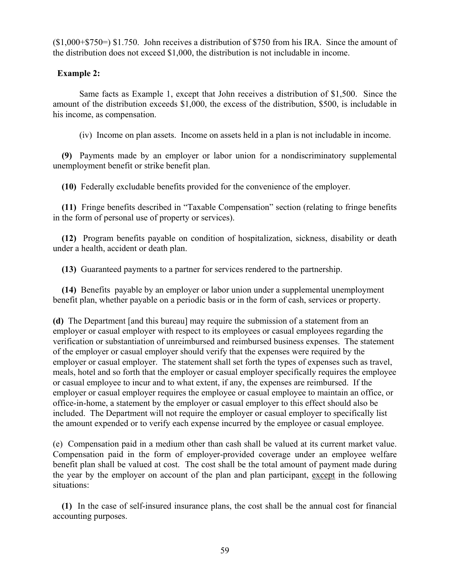(\$1,000+\$750=) \$1.750. John receives a distribution of \$750 from his IRA. Since the amount of the distribution does not exceed \$1,000, the distribution is not includable in income.

# **Example 2:**

 Same facts as Example 1, except that John receives a distribution of \$1,500. Since the amount of the distribution exceeds \$1,000, the excess of the distribution, \$500, is includable in his income, as compensation.

(iv) Income on plan assets. Income on assets held in a plan is not includable in income.

 **(9)** Payments made by an employer or labor union for a nondiscriminatory supplemental unemployment benefit or strike benefit plan.

 **(10)** Federally excludable benefits provided for the convenience of the employer.

 **(11)** Fringe benefits described in "Taxable Compensation" section (relating to fringe benefits in the form of personal use of property or services).

 **(12)** Program benefits payable on condition of hospitalization, sickness, disability or death under a health, accident or death plan.

 **(13)** Guaranteed payments to a partner for services rendered to the partnership.

 **(14)** Benefits payable by an employer or labor union under a supplemental unemployment benefit plan, whether payable on a periodic basis or in the form of cash, services or property.

**(d)** The Department [and this bureau] may require the submission of a statement from an employer or casual employer with respect to its employees or casual employees regarding the verification or substantiation of unreimbursed and reimbursed business expenses. The statement of the employer or casual employer should verify that the expenses were required by the employer or casual employer. The statement shall set forth the types of expenses such as travel, meals, hotel and so forth that the employer or casual employer specifically requires the employee or casual employee to incur and to what extent, if any, the expenses are reimbursed. If the employer or casual employer requires the employee or casual employee to maintain an office, or office-in-home, a statement by the employer or casual employer to this effect should also be included. The Department will not require the employer or casual employer to specifically list the amount expended or to verify each expense incurred by the employee or casual employee.

(e) Compensation paid in a medium other than cash shall be valued at its current market value. Compensation paid in the form of employer-provided coverage under an employee welfare benefit plan shall be valued at cost. The cost shall be the total amount of payment made during the year by the employer on account of the plan and plan participant, except in the following situations:

 **(1)** In the case of self-insured insurance plans, the cost shall be the annual cost for financial accounting purposes.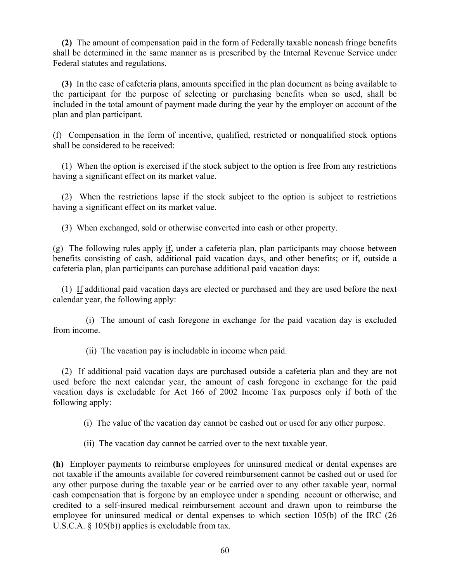**(2)** The amount of compensation paid in the form of Federally taxable noncash fringe benefits shall be determined in the same manner as is prescribed by the Internal Revenue Service under Federal statutes and regulations.

 **(3)** In the case of cafeteria plans, amounts specified in the plan document as being available to the participant for the purpose of selecting or purchasing benefits when so used, shall be included in the total amount of payment made during the year by the employer on account of the plan and plan participant.

(f) Compensation in the form of incentive, qualified, restricted or nonqualified stock options shall be considered to be received:

 (1) When the option is exercised if the stock subject to the option is free from any restrictions having a significant effect on its market value.

 (2) When the restrictions lapse if the stock subject to the option is subject to restrictions having a significant effect on its market value.

(3) When exchanged, sold or otherwise converted into cash or other property.

(g) The following rules apply if, under a cafeteria plan, plan participants may choose between benefits consisting of cash, additional paid vacation days, and other benefits; or if, outside a cafeteria plan, plan participants can purchase additional paid vacation days:

 (1) If additional paid vacation days are elected or purchased and they are used before the next calendar year, the following apply:

 (i) The amount of cash foregone in exchange for the paid vacation day is excluded from income.

(ii) The vacation pay is includable in income when paid.

 (2) If additional paid vacation days are purchased outside a cafeteria plan and they are not used before the next calendar year, the amount of cash foregone in exchange for the paid vacation days is excludable for Act 166 of 2002 Income Tax purposes only if both of the following apply:

(i) The value of the vacation day cannot be cashed out or used for any other purpose.

(ii) The vacation day cannot be carried over to the next taxable year.

**(h)** Employer payments to reimburse employees for uninsured medical or dental expenses are not taxable if the amounts available for covered reimbursement cannot be cashed out or used for any other purpose during the taxable year or be carried over to any other taxable year, normal cash compensation that is forgone by an employee under a spending account or otherwise, and credited to a self-insured medical reimbursement account and drawn upon to reimburse the employee for uninsured medical or dental expenses to which section 105(b) of the IRC (26 U.S.C.A. § 105(b)) applies is excludable from tax.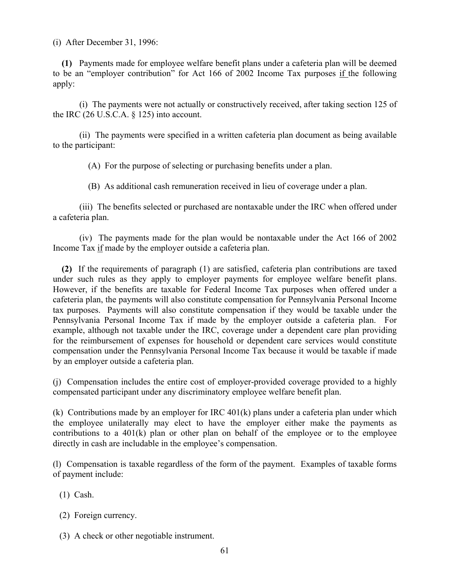(i) After December 31, 1996:

 **(1)** Payments made for employee welfare benefit plans under a cafeteria plan will be deemed to be an "employer contribution" for Act 166 of 2002 Income Tax purposes if the following apply:

 (i) The payments were not actually or constructively received, after taking section 125 of the IRC (26 U.S.C.A. § 125) into account.

 (ii) The payments were specified in a written cafeteria plan document as being available to the participant:

(A) For the purpose of selecting or purchasing benefits under a plan.

(B) As additional cash remuneration received in lieu of coverage under a plan.

 (iii) The benefits selected or purchased are nontaxable under the IRC when offered under a cafeteria plan.

 (iv) The payments made for the plan would be nontaxable under the Act 166 of 2002 Income Tax if made by the employer outside a cafeteria plan.

 **(2)** If the requirements of paragraph (1) are satisfied, cafeteria plan contributions are taxed under such rules as they apply to employer payments for employee welfare benefit plans. However, if the benefits are taxable for Federal Income Tax purposes when offered under a cafeteria plan, the payments will also constitute compensation for Pennsylvania Personal Income tax purposes. Payments will also constitute compensation if they would be taxable under the Pennsylvania Personal Income Tax if made by the employer outside a cafeteria plan. For example, although not taxable under the IRC, coverage under a dependent care plan providing for the reimbursement of expenses for household or dependent care services would constitute compensation under the Pennsylvania Personal Income Tax because it would be taxable if made by an employer outside a cafeteria plan.

(j) Compensation includes the entire cost of employer-provided coverage provided to a highly compensated participant under any discriminatory employee welfare benefit plan.

(k) Contributions made by an employer for IRC 401(k) plans under a cafeteria plan under which the employee unilaterally may elect to have the employer either make the payments as contributions to a  $401(k)$  plan or other plan on behalf of the employee or to the employee directly in cash are includable in the employee's compensation.

(l) Compensation is taxable regardless of the form of the payment. Examples of taxable forms of payment include:

- (1) Cash.
- (2) Foreign currency.
- (3) A check or other negotiable instrument.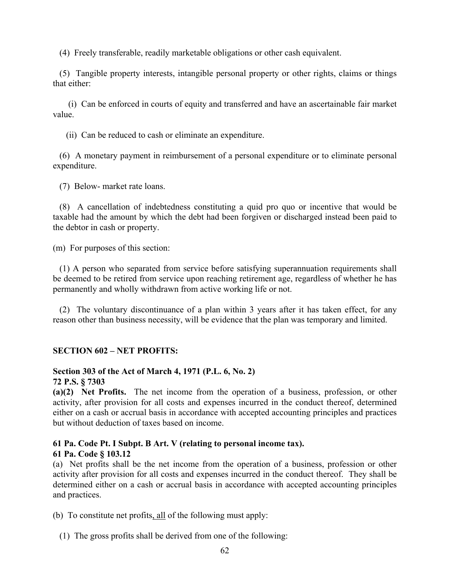(4) Freely transferable, readily marketable obligations or other cash equivalent.

 (5) Tangible property interests, intangible personal property or other rights, claims or things that either:

 (i) Can be enforced in courts of equity and transferred and have an ascertainable fair market value.

(ii) Can be reduced to cash or eliminate an expenditure.

 (6) A monetary payment in reimbursement of a personal expenditure or to eliminate personal expenditure.

(7) Below- market rate loans.

 (8) A cancellation of indebtedness constituting a quid pro quo or incentive that would be taxable had the amount by which the debt had been forgiven or discharged instead been paid to the debtor in cash or property.

(m) For purposes of this section:

 (1) A person who separated from service before satisfying superannuation requirements shall be deemed to be retired from service upon reaching retirement age, regardless of whether he has permanently and wholly withdrawn from active working life or not.

 (2) The voluntary discontinuance of a plan within 3 years after it has taken effect, for any reason other than business necessity, will be evidence that the plan was temporary and limited.

# **SECTION 602 – NET PROFITS:**

# **Section 303 of the Act of March 4, 1971 (P.L. 6, No. 2)**

**72 P.S. § 7303** 

**(a)(2) Net Profits.** The net income from the operation of a business, profession, or other activity, after provision for all costs and expenses incurred in the conduct thereof, determined either on a cash or accrual basis in accordance with accepted accounting principles and practices but without deduction of taxes based on income.

### **61 Pa. Code Pt. I Subpt. B Art. V (relating to personal income tax). 61 Pa. Code § 103.12**

(a) Net profits shall be the net income from the operation of a business, profession or other activity after provision for all costs and expenses incurred in the conduct thereof. They shall be determined either on a cash or accrual basis in accordance with accepted accounting principles and practices.

(b) To constitute net profits, all of the following must apply:

(1) The gross profits shall be derived from one of the following: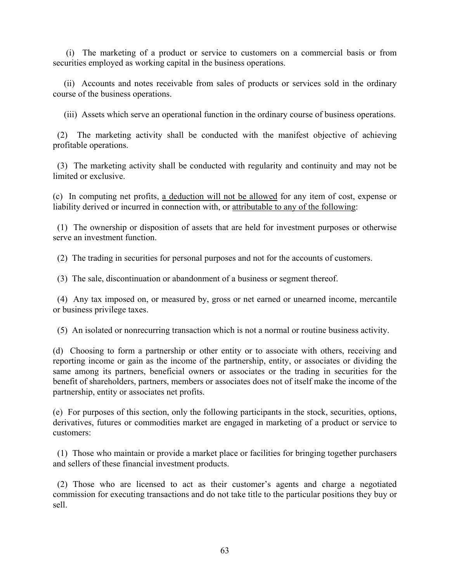(i) The marketing of a product or service to customers on a commercial basis or from securities employed as working capital in the business operations.

 (ii) Accounts and notes receivable from sales of products or services sold in the ordinary course of the business operations.

(iii) Assets which serve an operational function in the ordinary course of business operations.

 (2) The marketing activity shall be conducted with the manifest objective of achieving profitable operations.

 (3) The marketing activity shall be conducted with regularity and continuity and may not be limited or exclusive.

(c) In computing net profits, a deduction will not be allowed for any item of cost, expense or liability derived or incurred in connection with, or attributable to any of the following:

 (1) The ownership or disposition of assets that are held for investment purposes or otherwise serve an investment function.

(2) The trading in securities for personal purposes and not for the accounts of customers.

(3) The sale, discontinuation or abandonment of a business or segment thereof.

 (4) Any tax imposed on, or measured by, gross or net earned or unearned income, mercantile or business privilege taxes.

(5) An isolated or nonrecurring transaction which is not a normal or routine business activity.

(d) Choosing to form a partnership or other entity or to associate with others, receiving and reporting income or gain as the income of the partnership, entity, or associates or dividing the same among its partners, beneficial owners or associates or the trading in securities for the benefit of shareholders, partners, members or associates does not of itself make the income of the partnership, entity or associates net profits.

(e) For purposes of this section, only the following participants in the stock, securities, options, derivatives, futures or commodities market are engaged in marketing of a product or service to customers:

 (1) Those who maintain or provide a market place or facilities for bringing together purchasers and sellers of these financial investment products.

 (2) Those who are licensed to act as their customer's agents and charge a negotiated commission for executing transactions and do not take title to the particular positions they buy or sell.